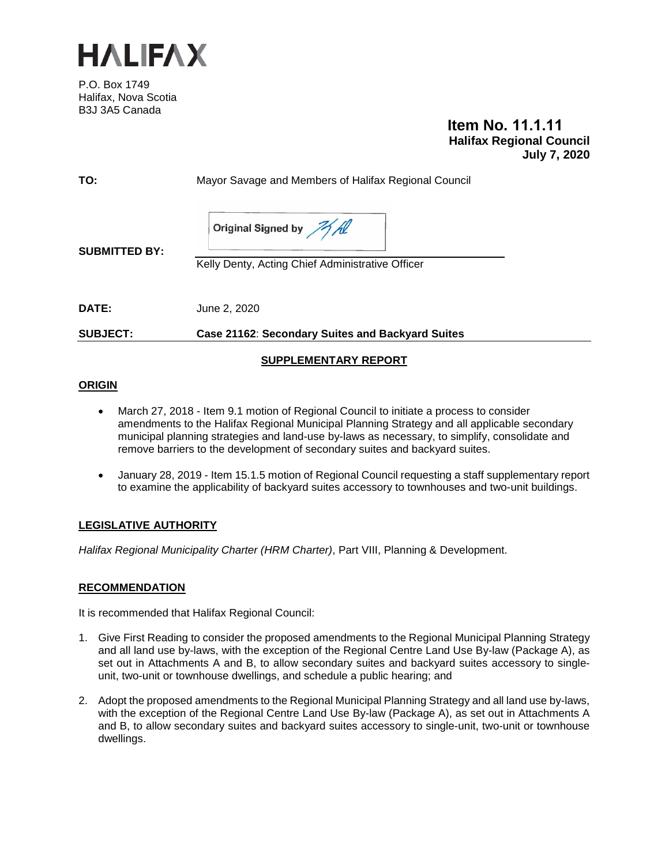

P.O. Box 1749 Halifax, Nova Scotia B3J 3A5 Canada

# **Item No. 11.1.11 Halifax Regional Council July 7, 2020**

| <b>SUBJECT:</b>      | Case 21162: Secondary Suites and Backyard Suites                           |
|----------------------|----------------------------------------------------------------------------|
| DATE:                | June 2, 2020                                                               |
| <b>SUBMITTED BY:</b> | Original Signed by All<br>Kelly Denty, Acting Chief Administrative Officer |
| TO:                  | Mayor Savage and Members of Halifax Regional Council                       |

#### **ORIGIN**

- March 27, 2018 Item 9.1 motion of Regional Council to initiate a process to consider amendments to the Halifax Regional Municipal Planning Strategy and all applicable secondary municipal planning strategies and land-use by-laws as necessary, to simplify, consolidate and remove barriers to the development of secondary suites and backyard suites.
- January 28, 2019 Item 15.1.5 motion of Regional Council requesting a staff supplementary report to examine the applicability of backyard suites accessory to townhouses and two-unit buildings.

# **LEGISLATIVE AUTHORITY**

*Halifax Regional Municipality Charter (HRM Charter)*, Part VIII, Planning & Development.

#### **RECOMMENDATION**

It is recommended that Halifax Regional Council:

- 1. Give First Reading to consider the proposed amendments to the Regional Municipal Planning Strategy and all land use by-laws, with the exception of the Regional Centre Land Use By-law (Package A), as set out in Attachments A and B, to allow secondary suites and backyard suites accessory to singleunit, two-unit or townhouse dwellings, and schedule a public hearing; and
- 2. Adopt the proposed amendments to the Regional Municipal Planning Strategy and all land use by-laws, with the exception of the Regional Centre Land Use By-law (Package A), as set out in Attachments A and B, to allow secondary suites and backyard suites accessory to single-unit, two-unit or townhouse dwellings.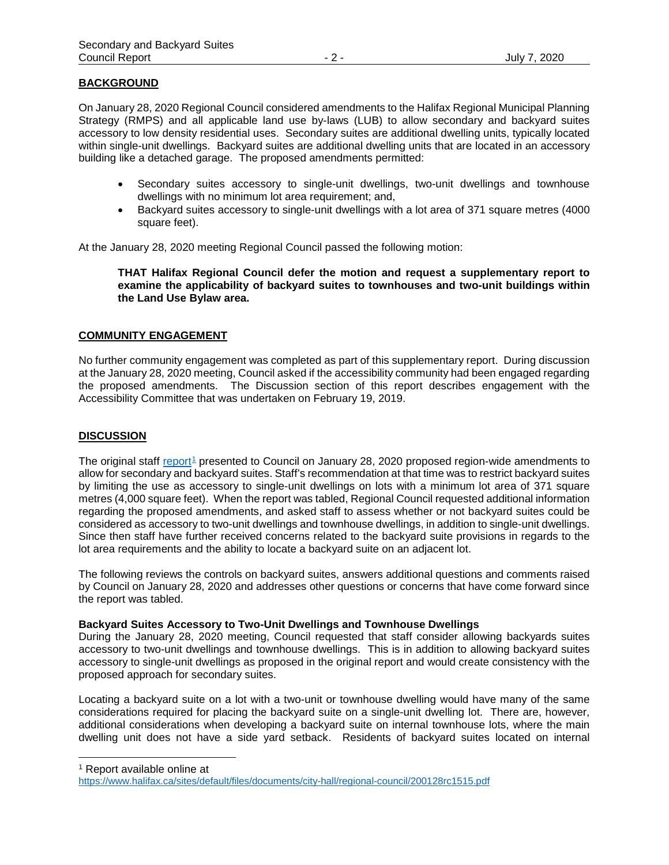#### **BACKGROUND**

On January 28, 2020 Regional Council considered amendments to the Halifax Regional Municipal Planning Strategy (RMPS) and all applicable land use by-laws (LUB) to allow secondary and backyard suites accessory to low density residential uses. Secondary suites are additional dwelling units, typically located within single-unit dwellings. Backyard suites are additional dwelling units that are located in an accessory building like a detached garage. The proposed amendments permitted:

- Secondary suites accessory to single-unit dwellings, two-unit dwellings and townhouse dwellings with no minimum lot area requirement; and,
- Backyard suites accessory to single-unit dwellings with a lot area of 371 square metres (4000 square feet).

At the January 28, 2020 meeting Regional Council passed the following motion:

**THAT Halifax Regional Council defer the motion and request a supplementary report to examine the applicability of backyard suites to townhouses and two-unit buildings within the Land Use Bylaw area.**

#### **COMMUNITY ENGAGEMENT**

No further community engagement was completed as part of this supplementary report. During discussion at the January 28, 2020 meeting, Council asked if the accessibility community had been engaged regarding the proposed amendments. The Discussion section of this report describes engagement with the Accessibility Committee that was undertaken on February 19, 2019.

#### **DISCUSSION**

The original staff [report](https://www.halifax.ca/sites/default/files/documents/city-hall/regional-council/200128rc1515.pdf)<sup>[1](#page-1-0)</sup> presented to Council on January 28, 2020 proposed region-wide amendments to allow for secondary and backyard suites. Staff's recommendation at that time was to restrict backyard suites by limiting the use as accessory to single-unit dwellings on lots with a minimum lot area of 371 square metres (4,000 square feet). When the report was tabled, Regional Council requested additional information regarding the proposed amendments, and asked staff to assess whether or not backyard suites could be considered as accessory to two-unit dwellings and townhouse dwellings, in addition to single-unit dwellings. Since then staff have further received concerns related to the backyard suite provisions in regards to the lot area requirements and the ability to locate a backyard suite on an adjacent lot.

The following reviews the controls on backyard suites, answers additional questions and comments raised by Council on January 28, 2020 and addresses other questions or concerns that have come forward since the report was tabled.

#### **Backyard Suites Accessory to Two-Unit Dwellings and Townhouse Dwellings**

During the January 28, 2020 meeting, Council requested that staff consider allowing backyards suites accessory to two-unit dwellings and townhouse dwellings. This is in addition to allowing backyard suites accessory to single-unit dwellings as proposed in the original report and would create consistency with the proposed approach for secondary suites.

Locating a backyard suite on a lot with a two-unit or townhouse dwelling would have many of the same considerations required for placing the backyard suite on a single-unit dwelling lot. There are, however, additional considerations when developing a backyard suite on internal townhouse lots, where the main dwelling unit does not have a side yard setback. Residents of backyard suites located on internal

<span id="page-1-0"></span>1 Report available online at

<https://www.halifax.ca/sites/default/files/documents/city-hall/regional-council/200128rc1515.pdf>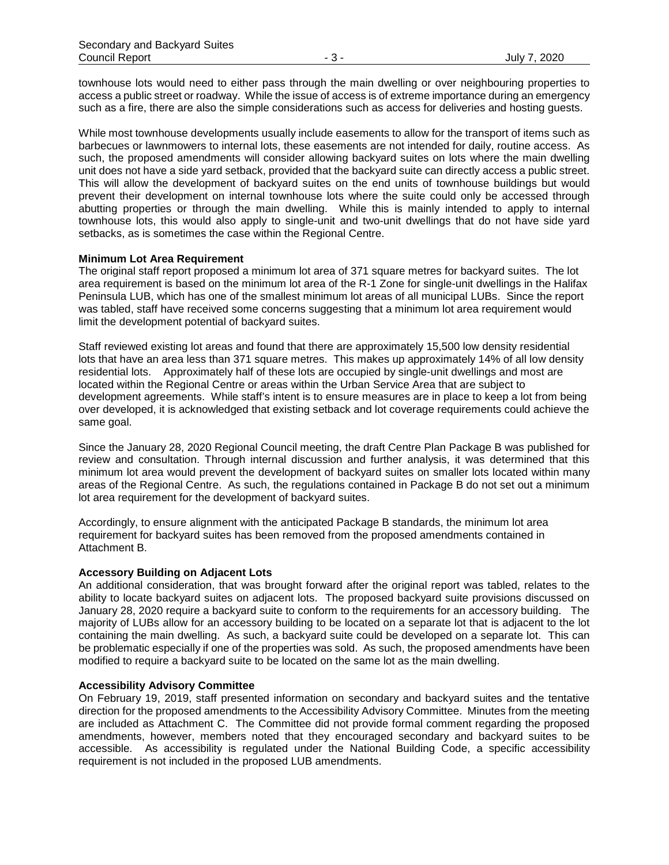townhouse lots would need to either pass through the main dwelling or over neighbouring properties to access a public street or roadway. While the issue of access is of extreme importance during an emergency such as a fire, there are also the simple considerations such as access for deliveries and hosting guests.

While most townhouse developments usually include easements to allow for the transport of items such as barbecues or lawnmowers to internal lots, these easements are not intended for daily, routine access. As such, the proposed amendments will consider allowing backyard suites on lots where the main dwelling unit does not have a side yard setback, provided that the backyard suite can directly access a public street. This will allow the development of backyard suites on the end units of townhouse buildings but would prevent their development on internal townhouse lots where the suite could only be accessed through abutting properties or through the main dwelling. While this is mainly intended to apply to internal townhouse lots, this would also apply to single-unit and two-unit dwellings that do not have side yard setbacks, as is sometimes the case within the Regional Centre.

#### **Minimum Lot Area Requirement**

The original staff report proposed a minimum lot area of 371 square metres for backyard suites. The lot area requirement is based on the minimum lot area of the R-1 Zone for single-unit dwellings in the Halifax Peninsula LUB, which has one of the smallest minimum lot areas of all municipal LUBs. Since the report was tabled, staff have received some concerns suggesting that a minimum lot area requirement would limit the development potential of backyard suites.

Staff reviewed existing lot areas and found that there are approximately 15,500 low density residential lots that have an area less than 371 square metres. This makes up approximately 14% of all low density residential lots. Approximately half of these lots are occupied by single-unit dwellings and most are located within the Regional Centre or areas within the Urban Service Area that are subject to development agreements. While staff's intent is to ensure measures are in place to keep a lot from being over developed, it is acknowledged that existing setback and lot coverage requirements could achieve the same goal.

Since the January 28, 2020 Regional Council meeting, the draft Centre Plan Package B was published for review and consultation. Through internal discussion and further analysis, it was determined that this minimum lot area would prevent the development of backyard suites on smaller lots located within many areas of the Regional Centre. As such, the regulations contained in Package B do not set out a minimum lot area requirement for the development of backyard suites.

Accordingly, to ensure alignment with the anticipated Package B standards, the minimum lot area requirement for backyard suites has been removed from the proposed amendments contained in Attachment B.

#### **Accessory Building on Adjacent Lots**

An additional consideration, that was brought forward after the original report was tabled, relates to the ability to locate backyard suites on adjacent lots. The proposed backyard suite provisions discussed on January 28, 2020 require a backyard suite to conform to the requirements for an accessory building. The majority of LUBs allow for an accessory building to be located on a separate lot that is adjacent to the lot containing the main dwelling. As such, a backyard suite could be developed on a separate lot. This can be problematic especially if one of the properties was sold. As such, the proposed amendments have been modified to require a backyard suite to be located on the same lot as the main dwelling.

#### **Accessibility Advisory Committee**

On February 19, 2019, staff presented information on secondary and backyard suites and the tentative direction for the proposed amendments to the Accessibility Advisory Committee. Minutes from the meeting are included as Attachment C. The Committee did not provide formal comment regarding the proposed amendments, however, members noted that they encouraged secondary and backyard suites to be accessible. As accessibility is regulated under the National Building Code, a specific accessibility requirement is not included in the proposed LUB amendments.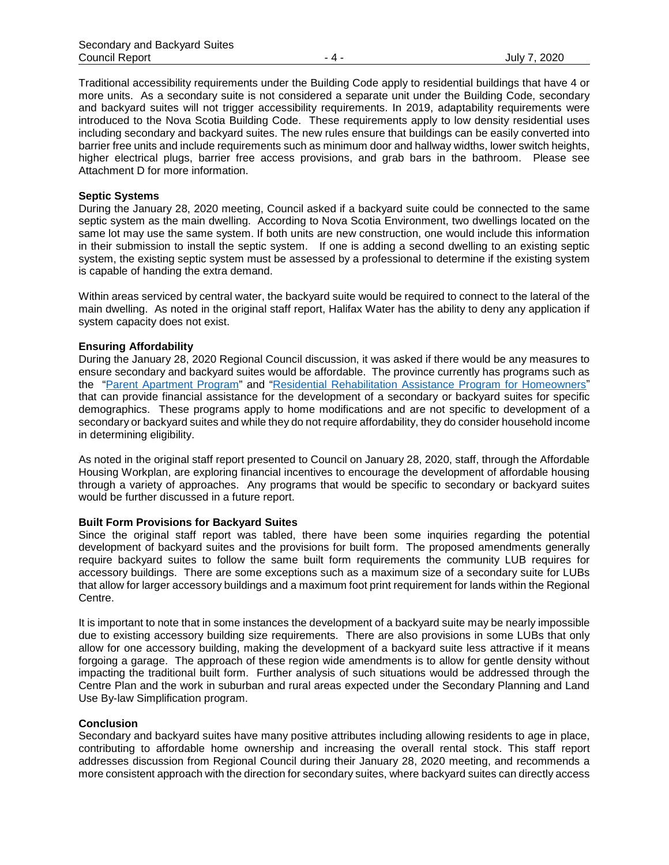Traditional accessibility requirements under the Building Code apply to residential buildings that have 4 or more units. As a secondary suite is not considered a separate unit under the Building Code, secondary and backyard suites will not trigger accessibility requirements. In 2019, adaptability requirements were introduced to the Nova Scotia Building Code. These requirements apply to low density residential uses including secondary and backyard suites. The new rules ensure that buildings can be easily converted into barrier free units and include requirements such as minimum door and hallway widths, lower switch heights, higher electrical plugs, barrier free access provisions, and grab bars in the bathroom. Please see Attachment D for more information.

#### **Septic Systems**

During the January 28, 2020 meeting, Council asked if a backyard suite could be connected to the same septic system as the main dwelling. According to Nova Scotia Environment, two dwellings located on the same lot may use the same system. If both units are new construction, one would include this information in their submission to install the septic system. If one is adding a second dwelling to an existing septic system, the existing septic system must be assessed by a professional to determine if the existing system is capable of handing the extra demand.

Within areas serviced by central water, the backyard suite would be required to connect to the lateral of the main dwelling. As noted in the original staff report, Halifax Water has the ability to deny any application if system capacity does not exist.

#### **Ensuring Affordability**

During the January 28, 2020 Regional Council discussion, it was asked if there would be any measures to ensure secondary and backyard suites would be affordable. The province currently has programs such as the ["Parent Apartment Program"](https://housing.novascotia.ca/programs/financial-assistance-and-grant-programs-homeowners/parent-apartment-program) and ["Residential Rehabilitation Assistance Program for Homeowners"](https://housing.novascotia.ca/programs/financial-assistance-and-grant-programs-homeowners/disabled-residential-rehabilitation) that can provide financial assistance for the development of a secondary or backyard suites for specific demographics. These programs apply to home modifications and are not specific to development of a secondary or backyard suites and while they do not require affordability, they do consider household income in determining eligibility.

As noted in the original staff report presented to Council on January 28, 2020, staff, through the Affordable Housing Workplan, are exploring financial incentives to encourage the development of affordable housing through a variety of approaches. Any programs that would be specific to secondary or backyard suites would be further discussed in a future report.

#### **Built Form Provisions for Backyard Suites**

Since the original staff report was tabled, there have been some inquiries regarding the potential development of backyard suites and the provisions for built form. The proposed amendments generally require backyard suites to follow the same built form requirements the community LUB requires for accessory buildings. There are some exceptions such as a maximum size of a secondary suite for LUBs that allow for larger accessory buildings and a maximum foot print requirement for lands within the Regional Centre.

It is important to note that in some instances the development of a backyard suite may be nearly impossible due to existing accessory building size requirements. There are also provisions in some LUBs that only allow for one accessory building, making the development of a backyard suite less attractive if it means forgoing a garage. The approach of these region wide amendments is to allow for gentle density without impacting the traditional built form. Further analysis of such situations would be addressed through the Centre Plan and the work in suburban and rural areas expected under the Secondary Planning and Land Use By-law Simplification program.

#### **Conclusion**

Secondary and backyard suites have many positive attributes including allowing residents to age in place, contributing to affordable home ownership and increasing the overall rental stock. This staff report addresses discussion from Regional Council during their January 28, 2020 meeting, and recommends a more consistent approach with the direction for secondary suites, where backyard suites can directly access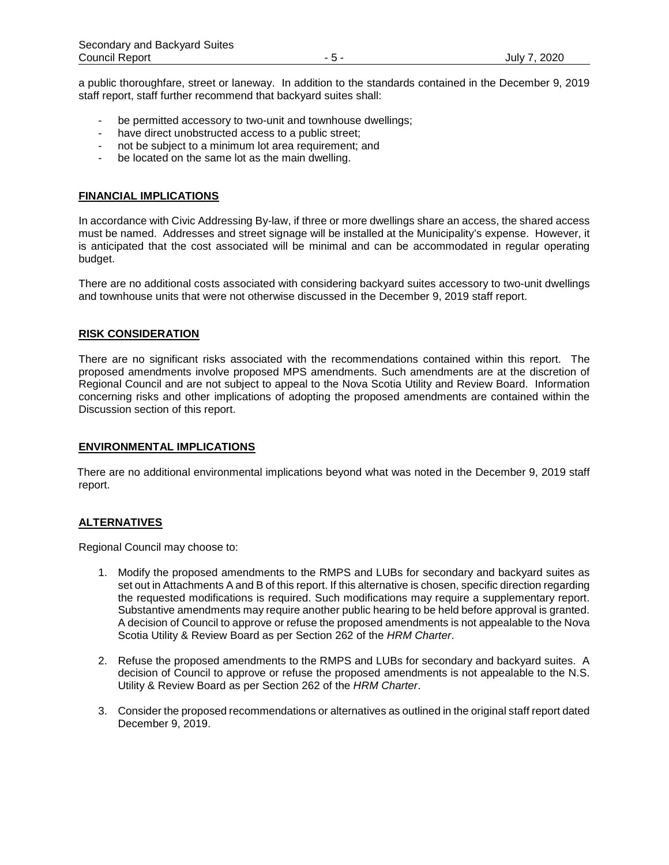a public thoroughfare, street or laneway. In addition to the standards contained in the December 9, 2019 staff report, staff further recommend that backyard suites shall:

- be permitted accessory to two-unit and townhouse dwellings;
- have direct unobstructed access to a public street;
- not be subject to a minimum lot area requirement; and
- be located on the same lot as the main dwelling.

#### **FINANCIAL IMPLICATIONS**

In accordance with Civic Addressing By-law, if three or more dwellings share an access, the shared access must be named. Addresses and street signage will be installed at the Municipality's expense. However, it is anticipated that the cost associated will be minimal and can be accommodated in regular operating budget.

There are no additional costs associated with considering backyard suites accessory to two-unit dwellings and townhouse units that were not otherwise discussed in the December 9, 2019 staff report.

#### **RISK CONSIDERATION**

There are no significant risks associated with the recommendations contained within this report. The proposed amendments involve proposed MPS amendments. Such amendments are at the discretion of Regional Council and are not subject to appeal to the Nova Scotia Utility and Review Board. Information concerning risks and other implications of adopting the proposed amendments are contained within the Discussion section of this report.

#### **ENVIRONMENTAL IMPLICATIONS**

There are no additional environmental implications beyond what was noted in the December 9, 2019 staff report.

#### **ALTERNATIVES**

Regional Council may choose to:

- 1. Modify the proposed amendments to the RMPS and LUBs for secondary and backyard suites as set out in Attachments A and B of this report. If this alternative is chosen, specific direction regarding the requested modifications is required. Such modifications may require a supplementary report. Substantive amendments may require another public hearing to be held before approval is granted. A decision of Council to approve or refuse the proposed amendments is not appealable to the Nova Scotia Utility & Review Board as per Section 262 of the *HRM Charter*.
- 2. Refuse the proposed amendments to the RMPS and LUBs for secondary and backyard suites. A decision of Council to approve or refuse the proposed amendments is not appealable to the N.S. Utility & Review Board as per Section 262 of the *HRM Charter*.
- 3. Consider the proposed recommendations or alternatives as outlined in the original staff report dated December 9, 2019.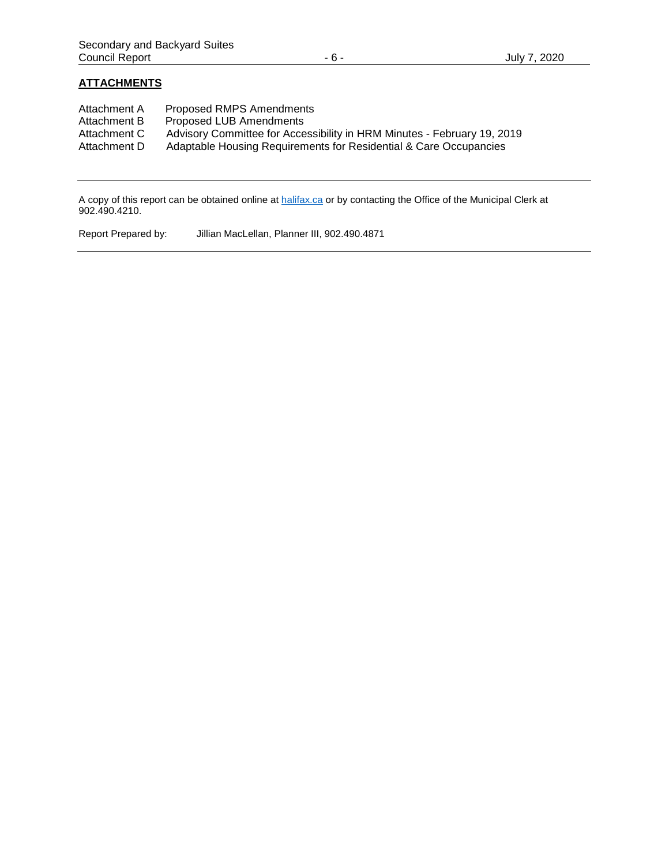# **ATTACHMENTS**

| Attachment A                 | <b>Proposed RMPS Amendments</b>                                         |
|------------------------------|-------------------------------------------------------------------------|
| Attachment B                 | Proposed LUB Amendments                                                 |
| Attachment C<br>Attachment D | Advisory Committee for Accessibility in HRM Minutes - February 19, 2019 |
|                              | Adaptable Housing Requirements for Residential & Care Occupancies       |

A copy of this report can be obtained online at [halifax.ca](http://www.halifax.ca/) or by contacting the Office of the Municipal Clerk at 902.490.4210.

Report Prepared by: Jillian MacLellan, Planner III, 902.490.4871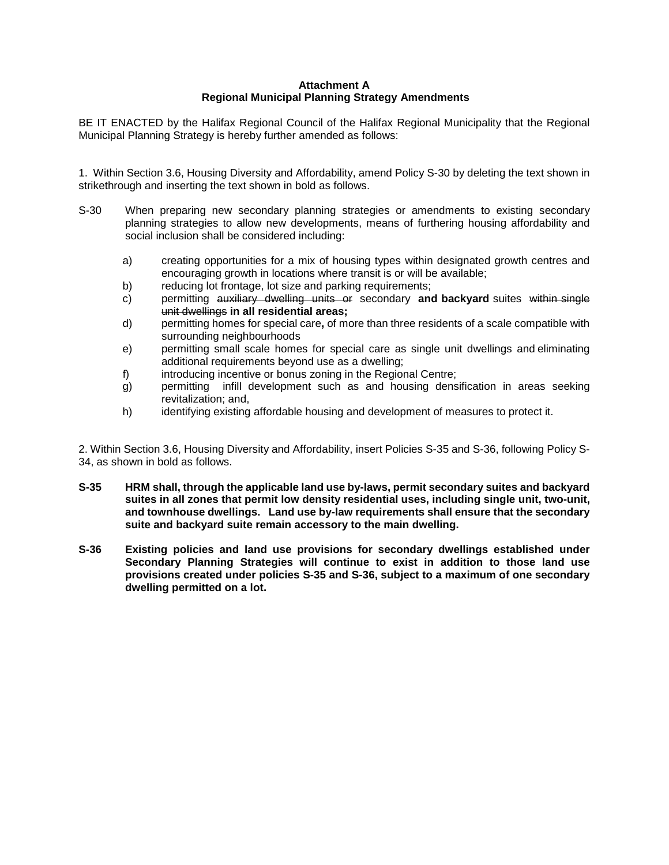# **Attachment A Regional Municipal Planning Strategy Amendments**

BE IT ENACTED by the Halifax Regional Council of the Halifax Regional Municipality that the Regional Municipal Planning Strategy is hereby further amended as follows:

1. Within Section 3.6, Housing Diversity and Affordability, amend Policy S-30 by deleting the text shown in strikethrough and inserting the text shown in bold as follows.

- S-30 When preparing new secondary planning strategies or amendments to existing secondary planning strategies to allow new developments, means of furthering housing affordability and social inclusion shall be considered including:
	- a) creating opportunities for a mix of housing types within designated growth centres and encouraging growth in locations where transit is or will be available;
	- b) reducing lot frontage, lot size and parking requirements;
	- c) permitting auxiliary dwelling units or secondary **and backyard** suites within single unit dwellings **in all residential areas;**
	- d) permitting homes for special care**,** of more than three residents of a scale compatible with surrounding neighbourhoods
	- e) permitting small scale homes for special care as single unit dwellings and eliminating additional requirements beyond use as a dwelling;
	- f) introducing incentive or bonus zoning in the Regional Centre;
	- g) permitting infill development such as and housing densification in areas seeking revitalization; and,
	- h) identifying existing affordable housing and development of measures to protect it.

2. Within Section 3.6, Housing Diversity and Affordability, insert Policies S-35 and S-36, following Policy S-34, as shown in bold as follows.

- **S-35 HRM shall, through the applicable land use by-laws, permit secondary suites and backyard suites in all zones that permit low density residential uses, including single unit, two-unit, and townhouse dwellings. Land use by-law requirements shall ensure that the secondary suite and backyard suite remain accessory to the main dwelling.**
- **S-36 Existing policies and land use provisions for secondary dwellings established under Secondary Planning Strategies will continue to exist in addition to those land use provisions created under policies S-35 and S-36, subject to a maximum of one secondary dwelling permitted on a lot.**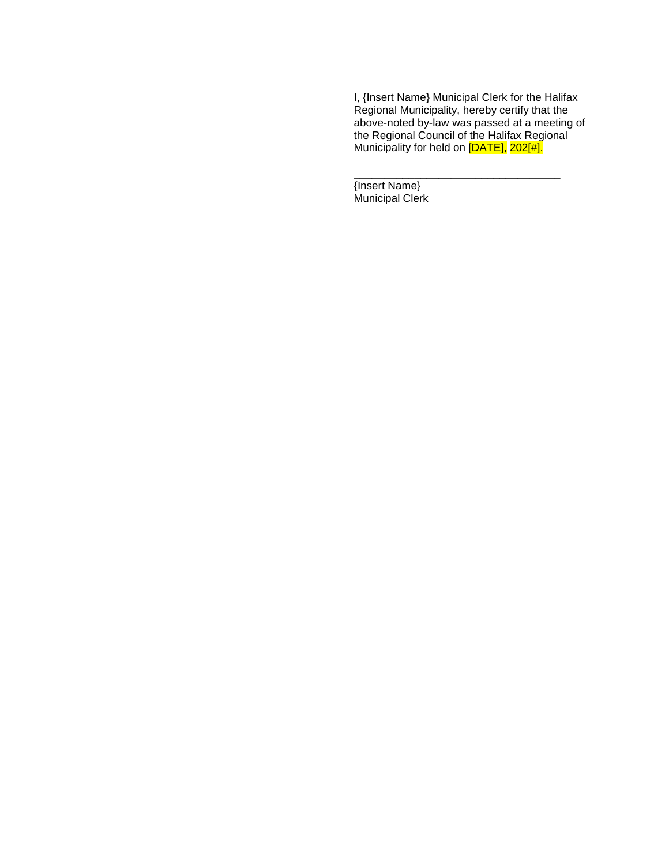I, {Insert Name} Municipal Clerk for the Halifax Regional Municipality, hereby certify that the above-noted by-law was passed at a meeting of the Regional Council of the Halifax Regional Municipality for held on <mark>[DATE],</mark> 202[#].

\_\_\_\_\_\_\_\_\_\_\_\_\_\_\_\_\_\_\_\_\_\_\_\_\_\_\_\_\_\_\_\_\_\_

{Insert Name} Municipal Clerk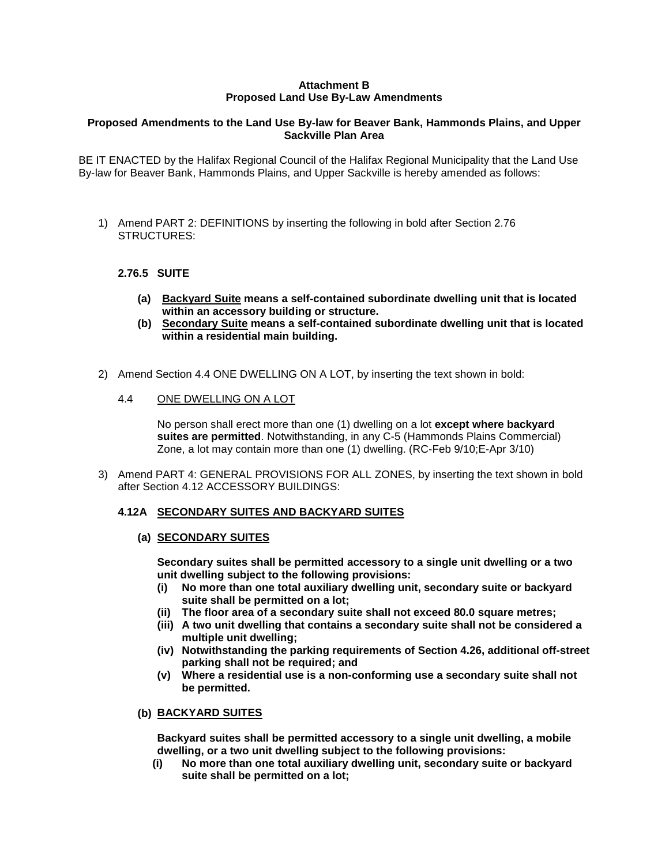# **Attachment B Proposed Land Use By-Law Amendments**

# **Proposed Amendments to the Land Use By-law for Beaver Bank, Hammonds Plains, and Upper Sackville Plan Area**

BE IT ENACTED by the Halifax Regional Council of the Halifax Regional Municipality that the Land Use By-law for Beaver Bank, Hammonds Plains, and Upper Sackville is hereby amended as follows:

1) Amend PART 2: DEFINITIONS by inserting the following in bold after Section 2.76 STRUCTURES:

# **2.76.5 SUITE**

- **(a) Backyard Suite means a self-contained subordinate dwelling unit that is located within an accessory building or structure.**
- **(b) Secondary Suite means a self-contained subordinate dwelling unit that is located within a residential main building.**
- 2) Amend Section 4.4 ONE DWELLING ON A LOT, by inserting the text shown in bold:
	- 4.4 ONE DWELLING ON A LOT

No person shall erect more than one (1) dwelling on a lot **except where backyard suites are permitted**. Notwithstanding, in any C-5 (Hammonds Plains Commercial) Zone, a lot may contain more than one (1) dwelling. (RC-Feb 9/10;E-Apr 3/10)

3) Amend PART 4: GENERAL PROVISIONS FOR ALL ZONES, by inserting the text shown in bold after Section 4.12 ACCESSORY BUILDINGS:

#### **4.12A SECONDARY SUITES AND BACKYARD SUITES**

#### **(a) SECONDARY SUITES**

**Secondary suites shall be permitted accessory to a single unit dwelling or a two unit dwelling subject to the following provisions:**

- **(i) No more than one total auxiliary dwelling unit, secondary suite or backyard suite shall be permitted on a lot;**
- **(ii) The floor area of a secondary suite shall not exceed 80.0 square metres;**
- **(iii) A two unit dwelling that contains a secondary suite shall not be considered a multiple unit dwelling;**
- **(iv) Notwithstanding the parking requirements of Section 4.26, additional off-street parking shall not be required; and**
- **(v) Where a residential use is a non-conforming use a secondary suite shall not be permitted.**

#### **(b) BACKYARD SUITES**

**Backyard suites shall be permitted accessory to a single unit dwelling, a mobile dwelling, or a two unit dwelling subject to the following provisions:**

**(i) No more than one total auxiliary dwelling unit, secondary suite or backyard suite shall be permitted on a lot;**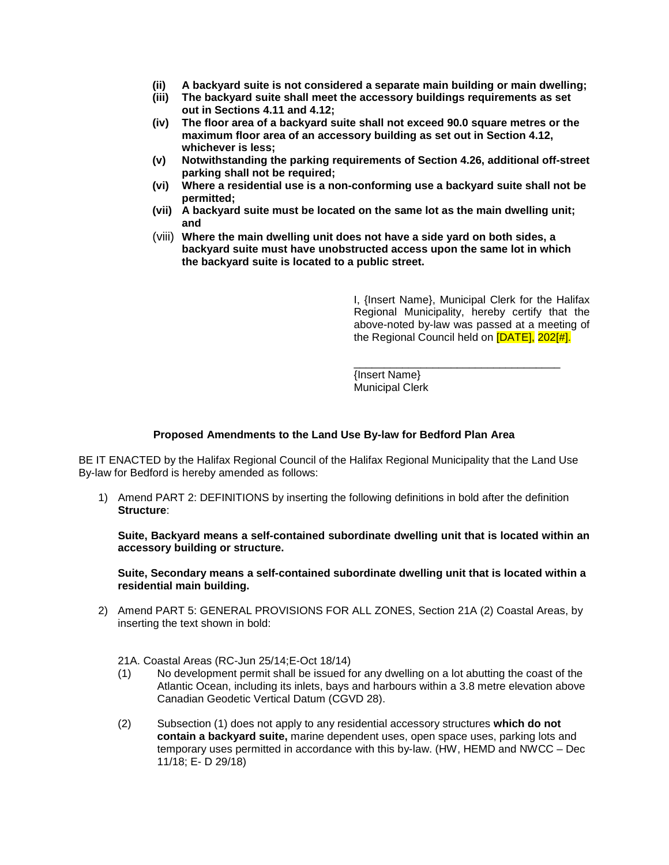- **(ii) A backyard suite is not considered a separate main building or main dwelling;**
- **(iii) The backyard suite shall meet the accessory buildings requirements as set out in Sections 4.11 and 4.12;**
- **(iv) The floor area of a backyard suite shall not exceed 90.0 square metres or the maximum floor area of an accessory building as set out in Section 4.12, whichever is less;**
- **(v) Notwithstanding the parking requirements of Section 4.26, additional off-street parking shall not be required;**
- **(vi) Where a residential use is a non-conforming use a backyard suite shall not be permitted;**
- **(vii) A backyard suite must be located on the same lot as the main dwelling unit; and**
- (viii) **Where the main dwelling unit does not have a side yard on both sides, a backyard suite must have unobstructed access upon the same lot in which the backyard suite is located to a public street.**

I, {Insert Name}, Municipal Clerk for the Halifax Regional Municipality, hereby certify that the above-noted by-law was passed at a meeting of the Regional Council held on [DATE], 202[#].

\_\_\_\_\_\_\_\_\_\_\_\_\_\_\_\_\_\_\_\_\_\_\_\_\_\_\_\_\_\_\_\_\_\_ {Insert Name} Municipal Clerk

#### **Proposed Amendments to the Land Use By-law for Bedford Plan Area**

BE IT ENACTED by the Halifax Regional Council of the Halifax Regional Municipality that the Land Use By-law for Bedford is hereby amended as follows:

1) Amend PART 2: DEFINITIONS by inserting the following definitions in bold after the definition **Structure**:

**Suite, Backyard means a self-contained subordinate dwelling unit that is located within an accessory building or structure.**

**Suite, Secondary means a self-contained subordinate dwelling unit that is located within a residential main building.**

- 2) Amend PART 5: GENERAL PROVISIONS FOR ALL ZONES, Section 21A (2) Coastal Areas, by inserting the text shown in bold:
	- 21A. Coastal Areas (RC-Jun 25/14;E-Oct 18/14)
	- (1) No development permit shall be issued for any dwelling on a lot abutting the coast of the Atlantic Ocean, including its inlets, bays and harbours within a 3.8 metre elevation above Canadian Geodetic Vertical Datum (CGVD 28).
	- (2) Subsection (1) does not apply to any residential accessory structures **which do not contain a backyard suite,** marine dependent uses, open space uses, parking lots and temporary uses permitted in accordance with this by-law. (HW, HEMD and NWCC – Dec 11/18; E- D 29/18)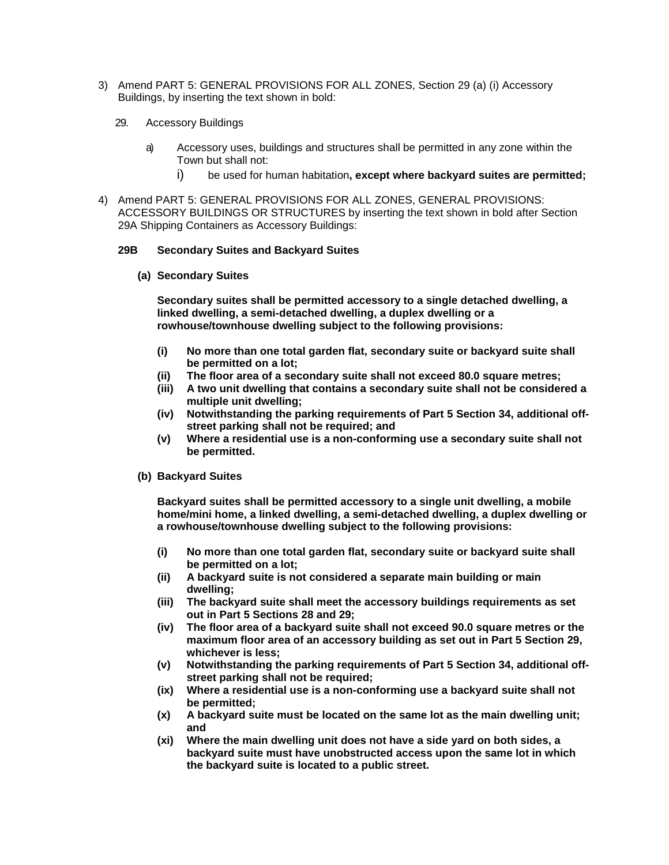- 3) Amend PART 5: GENERAL PROVISIONS FOR ALL ZONES, Section 29 (a) (i) Accessory Buildings, by inserting the text shown in bold:
	- 29. Accessory Buildings
		- a) Accessory uses, buildings and structures shall be permitted in any zone within the Town but shall not:
			- i) be used for human habitation**, except where backyard suites are permitted;**
- 4) Amend PART 5: GENERAL PROVISIONS FOR ALL ZONES, GENERAL PROVISIONS: ACCESSORY BUILDINGS OR STRUCTURES by inserting the text shown in bold after Section 29A Shipping Containers as Accessory Buildings:

#### **29B Secondary Suites and Backyard Suites**

**(a) Secondary Suites**

**Secondary suites shall be permitted accessory to a single detached dwelling, a linked dwelling, a semi-detached dwelling, a duplex dwelling or a rowhouse/townhouse dwelling subject to the following provisions:**

- **(i) No more than one total garden flat, secondary suite or backyard suite shall be permitted on a lot;**
- **(ii) The floor area of a secondary suite shall not exceed 80.0 square metres;**
- **(iii) A two unit dwelling that contains a secondary suite shall not be considered a multiple unit dwelling;**
- **(iv) Notwithstanding the parking requirements of Part 5 Section 34, additional offstreet parking shall not be required; and**
- **(v) Where a residential use is a non-conforming use a secondary suite shall not be permitted.**
- **(b) Backyard Suites**

**Backyard suites shall be permitted accessory to a single unit dwelling, a mobile home/mini home, a linked dwelling, a semi-detached dwelling, a duplex dwelling or a rowhouse/townhouse dwelling subject to the following provisions:**

- **(i) No more than one total garden flat, secondary suite or backyard suite shall be permitted on a lot;**
- **(ii) A backyard suite is not considered a separate main building or main dwelling;**
- **(iii) The backyard suite shall meet the accessory buildings requirements as set out in Part 5 Sections 28 and 29;**
- **(iv) The floor area of a backyard suite shall not exceed 90.0 square metres or the maximum floor area of an accessory building as set out in Part 5 Section 29, whichever is less;**
- **(v) Notwithstanding the parking requirements of Part 5 Section 34, additional offstreet parking shall not be required;**
- **(ix) Where a residential use is a non-conforming use a backyard suite shall not be permitted;**
- **(x) A backyard suite must be located on the same lot as the main dwelling unit; and**
- **(xi) Where the main dwelling unit does not have a side yard on both sides, a backyard suite must have unobstructed access upon the same lot in which the backyard suite is located to a public street.**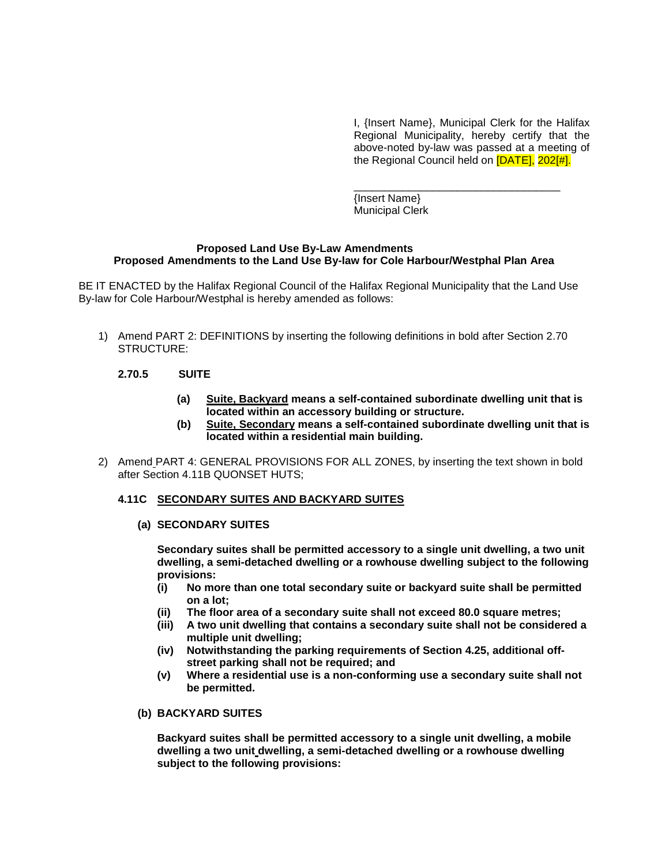I, {Insert Name}, Municipal Clerk for the Halifax Regional Municipality, hereby certify that the above-noted by-law was passed at a meeting of the Regional Council held on [DATE], 202[#].

\_\_\_\_\_\_\_\_\_\_\_\_\_\_\_\_\_\_\_\_\_\_\_\_\_\_\_\_\_\_\_\_\_\_ {Insert Name} Municipal Clerk

#### **Proposed Land Use By-Law Amendments Proposed Amendments to the Land Use By-law for Cole Harbour/Westphal Plan Area**

BE IT ENACTED by the Halifax Regional Council of the Halifax Regional Municipality that the Land Use By-law for Cole Harbour/Westphal is hereby amended as follows:

- 1) Amend PART 2: DEFINITIONS by inserting the following definitions in bold after Section 2.70 STRUCTURE:
	- **2.70.5 SUITE**
		- **(a) Suite, Backyard means a self-contained subordinate dwelling unit that is located within an accessory building or structure.**
		- **(b) Suite, Secondary means a self-contained subordinate dwelling unit that is located within a residential main building.**
- 2) Amend PART 4: GENERAL PROVISIONS FOR ALL ZONES, by inserting the text shown in bold after Section 4.11B QUONSET HUTS;

#### **4.11C SECONDARY SUITES AND BACKYARD SUITES**

#### **(a) SECONDARY SUITES**

**Secondary suites shall be permitted accessory to a single unit dwelling, a two unit dwelling, a semi-detached dwelling or a rowhouse dwelling subject to the following provisions:**

- **(i) No more than one total secondary suite or backyard suite shall be permitted on a lot;**
- **(ii) The floor area of a secondary suite shall not exceed 80.0 square metres;**
- **(iii) A two unit dwelling that contains a secondary suite shall not be considered a multiple unit dwelling;**
- **(iv) Notwithstanding the parking requirements of Section 4.25, additional offstreet parking shall not be required; and**
- **(v) Where a residential use is a non-conforming use a secondary suite shall not be permitted.**

#### **(b) BACKYARD SUITES**

**Backyard suites shall be permitted accessory to a single unit dwelling, a mobile dwelling a two unit dwelling, a semi-detached dwelling or a rowhouse dwelling subject to the following provisions:**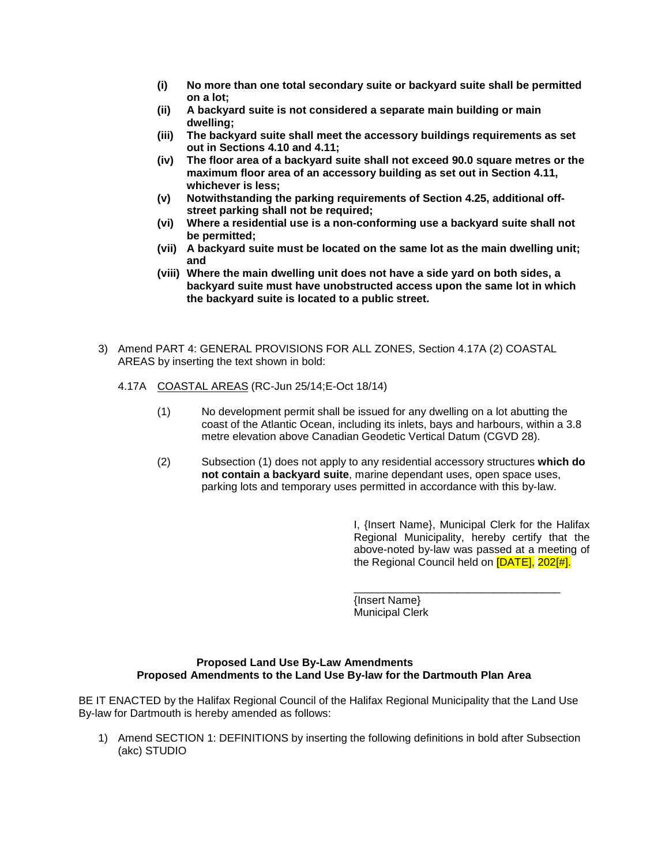- **(i) No more than one total secondary suite or backyard suite shall be permitted on a lot;**
- **(ii) A backyard suite is not considered a separate main building or main dwelling;**
- **(iii) The backyard suite shall meet the accessory buildings requirements as set out in Sections 4.10 and 4.11;**
- **(iv) The floor area of a backyard suite shall not exceed 90.0 square metres or the maximum floor area of an accessory building as set out in Section 4.11, whichever is less;**
- **(v) Notwithstanding the parking requirements of Section 4.25, additional offstreet parking shall not be required;**
- **(vi) Where a residential use is a non-conforming use a backyard suite shall not be permitted;**
- **(vii) A backyard suite must be located on the same lot as the main dwelling unit; and**
- **(viii) Where the main dwelling unit does not have a side yard on both sides, a backyard suite must have unobstructed access upon the same lot in which the backyard suite is located to a public street.**
- 3) Amend PART 4: GENERAL PROVISIONS FOR ALL ZONES, Section 4.17A (2) COASTAL AREAS by inserting the text shown in bold:
	- 4.17A COASTAL AREAS (RC-Jun 25/14;E-Oct 18/14)
		- (1) No development permit shall be issued for any dwelling on a lot abutting the coast of the Atlantic Ocean, including its inlets, bays and harbours, within a 3.8 metre elevation above Canadian Geodetic Vertical Datum (CGVD 28).
		- (2) Subsection (1) does not apply to any residential accessory structures **which do not contain a backyard suite**, marine dependant uses, open space uses, parking lots and temporary uses permitted in accordance with this by-law.

I, {Insert Name}, Municipal Clerk for the Halifax Regional Municipality, hereby certify that the above-noted by-law was passed at a meeting of the Regional Council held on [DATE], 202[#].

\_\_\_\_\_\_\_\_\_\_\_\_\_\_\_\_\_\_\_\_\_\_\_\_\_\_\_\_\_\_\_\_\_\_

{Insert Name} Municipal Clerk

#### **Proposed Land Use By-Law Amendments Proposed Amendments to the Land Use By-law for the Dartmouth Plan Area**

BE IT ENACTED by the Halifax Regional Council of the Halifax Regional Municipality that the Land Use By-law for Dartmouth is hereby amended as follows:

1) Amend SECTION 1: DEFINITIONS by inserting the following definitions in bold after Subsection (akc) STUDIO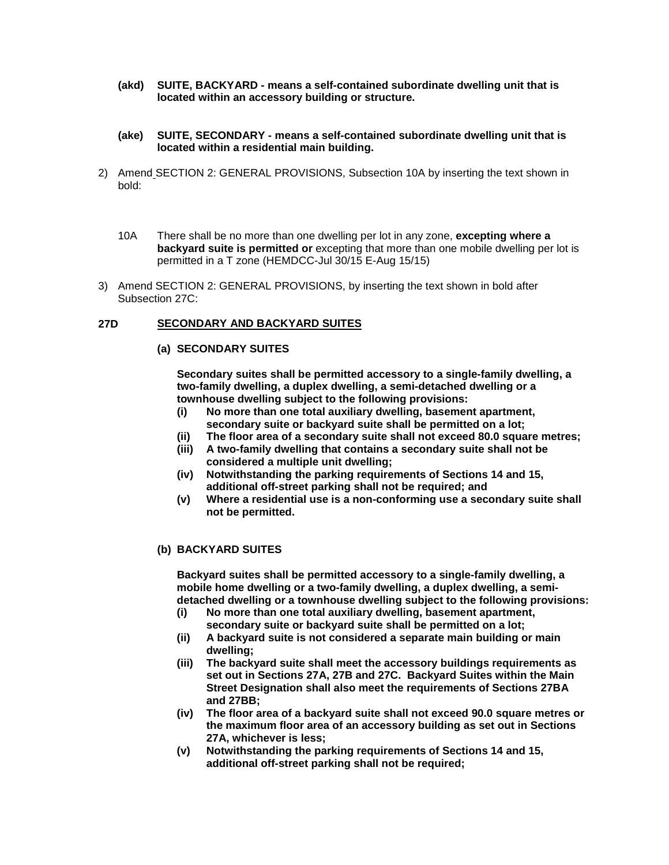- **(akd) SUITE, BACKYARD - means a self-contained subordinate dwelling unit that is located within an accessory building or structure.**
- **(ake) SUITE, SECONDARY - means a self-contained subordinate dwelling unit that is located within a residential main building.**
- 2) Amend SECTION 2: GENERAL PROVISIONS, Subsection 10A by inserting the text shown in bold:
	- 10A There shall be no more than one dwelling per lot in any zone, **excepting where a backyard suite is permitted or** excepting that more than one mobile dwelling per lot is permitted in a T zone (HEMDCC-Jul 30/15 E-Aug 15/15)
- 3) Amend SECTION 2: GENERAL PROVISIONS, by inserting the text shown in bold after Subsection 27C:

#### **27D SECONDARY AND BACKYARD SUITES**

#### **(a) SECONDARY SUITES**

**Secondary suites shall be permitted accessory to a single-family dwelling, a two-family dwelling, a duplex dwelling, a semi-detached dwelling or a townhouse dwelling subject to the following provisions:**

- **(i) No more than one total auxiliary dwelling, basement apartment, secondary suite or backyard suite shall be permitted on a lot;**
- **(ii) The floor area of a secondary suite shall not exceed 80.0 square metres;**
- **(iii) A two-family dwelling that contains a secondary suite shall not be considered a multiple unit dwelling;**
- **(iv) Notwithstanding the parking requirements of Sections 14 and 15, additional off-street parking shall not be required; and**
- **(v) Where a residential use is a non-conforming use a secondary suite shall not be permitted.**

#### **(b) BACKYARD SUITES**

**Backyard suites shall be permitted accessory to a single-family dwelling, a mobile home dwelling or a two-family dwelling, a duplex dwelling, a semidetached dwelling or a townhouse dwelling subject to the following provisions:**

- **(i) No more than one total auxiliary dwelling, basement apartment, secondary suite or backyard suite shall be permitted on a lot;**
- **(ii) A backyard suite is not considered a separate main building or main dwelling;**
- **(iii) The backyard suite shall meet the accessory buildings requirements as set out in Sections 27A, 27B and 27C. Backyard Suites within the Main Street Designation shall also meet the requirements of Sections 27BA and 27BB;**
- **(iv) The floor area of a backyard suite shall not exceed 90.0 square metres or the maximum floor area of an accessory building as set out in Sections 27A, whichever is less;**
- **(v) Notwithstanding the parking requirements of Sections 14 and 15, additional off-street parking shall not be required;**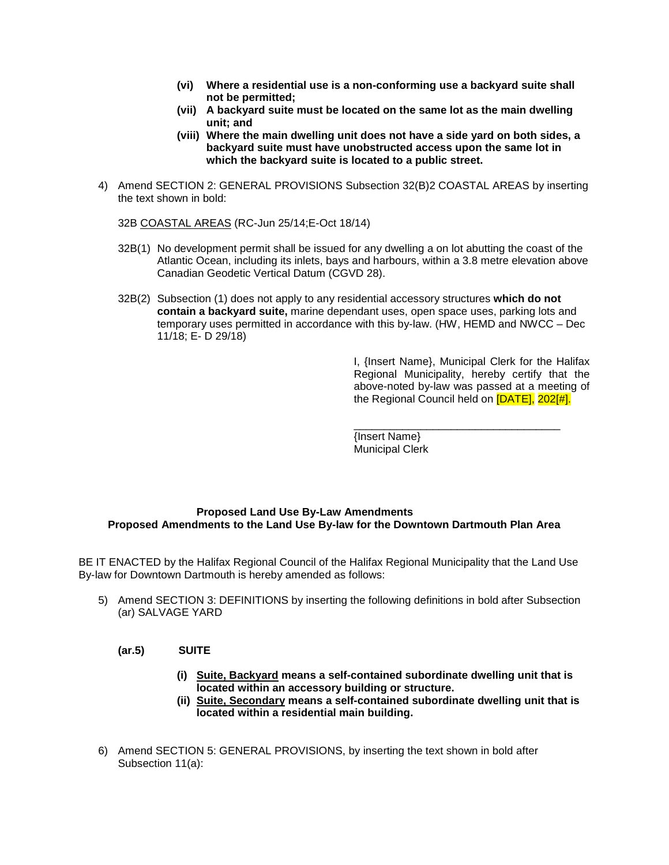- **(vi) Where a residential use is a non-conforming use a backyard suite shall not be permitted;**
- **(vii) A backyard suite must be located on the same lot as the main dwelling unit; and**
- **(viii) Where the main dwelling unit does not have a side yard on both sides, a backyard suite must have unobstructed access upon the same lot in which the backyard suite is located to a public street.**
- 4) Amend SECTION 2: GENERAL PROVISIONS Subsection 32(B)2 COASTAL AREAS by inserting the text shown in bold:

32B COASTAL AREAS (RC-Jun 25/14;E-Oct 18/14)

- 32B(1) No development permit shall be issued for any dwelling a on lot abutting the coast of the Atlantic Ocean, including its inlets, bays and harbours, within a 3.8 metre elevation above Canadian Geodetic Vertical Datum (CGVD 28).
- 32B(2) Subsection (1) does not apply to any residential accessory structures **which do not contain a backyard suite,** marine dependant uses, open space uses, parking lots and temporary uses permitted in accordance with this by-law. (HW, HEMD and NWCC – Dec 11/18; E- D 29/18)

I, {Insert Name}, Municipal Clerk for the Halifax Regional Municipality, hereby certify that the above-noted by-law was passed at a meeting of the Regional Council held on [DATE], 202[#].

\_\_\_\_\_\_\_\_\_\_\_\_\_\_\_\_\_\_\_\_\_\_\_\_\_\_\_\_\_\_\_\_\_\_

{Insert Name} Municipal Clerk

#### **Proposed Land Use By-Law Amendments Proposed Amendments to the Land Use By-law for the Downtown Dartmouth Plan Area**

BE IT ENACTED by the Halifax Regional Council of the Halifax Regional Municipality that the Land Use By-law for Downtown Dartmouth is hereby amended as follows:

5) Amend SECTION 3: DEFINITIONS by inserting the following definitions in bold after Subsection (ar) SALVAGE YARD

#### **(ar.5) SUITE**

- **(i) Suite, Backyard means a self-contained subordinate dwelling unit that is located within an accessory building or structure.**
- **(ii) Suite, Secondary means a self-contained subordinate dwelling unit that is located within a residential main building.**
- 6) Amend SECTION 5: GENERAL PROVISIONS, by inserting the text shown in bold after Subsection 11(a):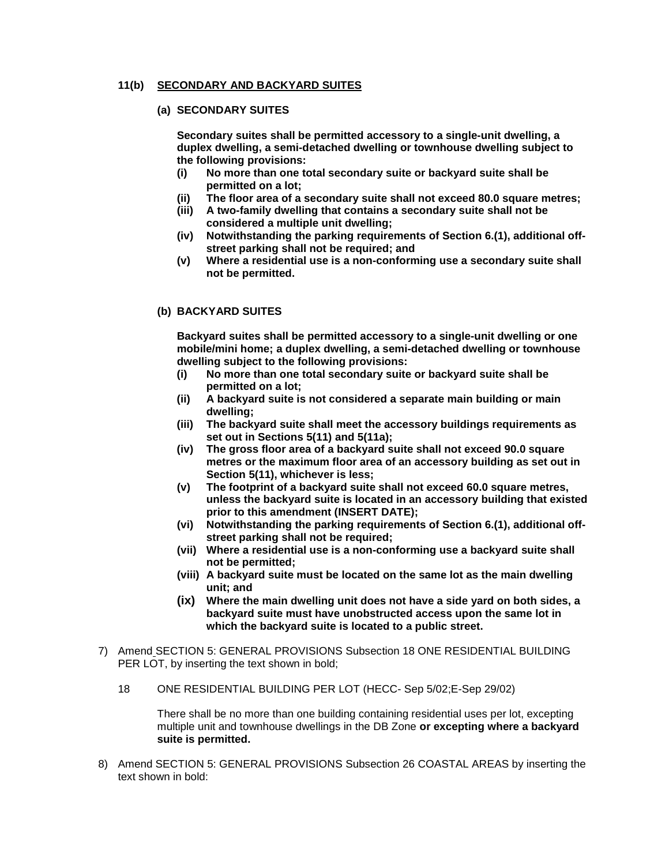#### **11(b) SECONDARY AND BACKYARD SUITES**

#### **(a) SECONDARY SUITES**

**Secondary suites shall be permitted accessory to a single-unit dwelling, a duplex dwelling, a semi-detached dwelling or townhouse dwelling subject to the following provisions:**

- **(i) No more than one total secondary suite or backyard suite shall be permitted on a lot;**
- **(ii) The floor area of a secondary suite shall not exceed 80.0 square metres;**
- **(iii) A two-family dwelling that contains a secondary suite shall not be considered a multiple unit dwelling;**
- **(iv) Notwithstanding the parking requirements of Section 6.(1), additional offstreet parking shall not be required; and**
- **(v) Where a residential use is a non-conforming use a secondary suite shall not be permitted.**

#### **(b) BACKYARD SUITES**

**Backyard suites shall be permitted accessory to a single-unit dwelling or one mobile/mini home; a duplex dwelling, a semi-detached dwelling or townhouse dwelling subject to the following provisions:**

- **(i) No more than one total secondary suite or backyard suite shall be permitted on a lot;**
- **(ii) A backyard suite is not considered a separate main building or main dwelling;**
- **(iii) The backyard suite shall meet the accessory buildings requirements as set out in Sections 5(11) and 5(11a);**
- **(iv) The gross floor area of a backyard suite shall not exceed 90.0 square metres or the maximum floor area of an accessory building as set out in Section 5(11), whichever is less;**
- **(v) The footprint of a backyard suite shall not exceed 60.0 square metres, unless the backyard suite is located in an accessory building that existed prior to this amendment (INSERT DATE);**
- **(vi) Notwithstanding the parking requirements of Section 6.(1), additional offstreet parking shall not be required;**
- **(vii) Where a residential use is a non-conforming use a backyard suite shall not be permitted;**
- **(viii) A backyard suite must be located on the same lot as the main dwelling unit; and**
- **(ix) Where the main dwelling unit does not have a side yard on both sides, a backyard suite must have unobstructed access upon the same lot in which the backyard suite is located to a public street.**
- 7) Amend SECTION 5: GENERAL PROVISIONS Subsection 18 ONE RESIDENTIAL BUILDING PER LOT, by inserting the text shown in bold;
	- 18 ONE RESIDENTIAL BUILDING PER LOT (HECC- Sep 5/02;E-Sep 29/02)

There shall be no more than one building containing residential uses per lot, excepting multiple unit and townhouse dwellings in the DB Zone **or excepting where a backyard suite is permitted.**

8) Amend SECTION 5: GENERAL PROVISIONS Subsection 26 COASTAL AREAS by inserting the text shown in bold: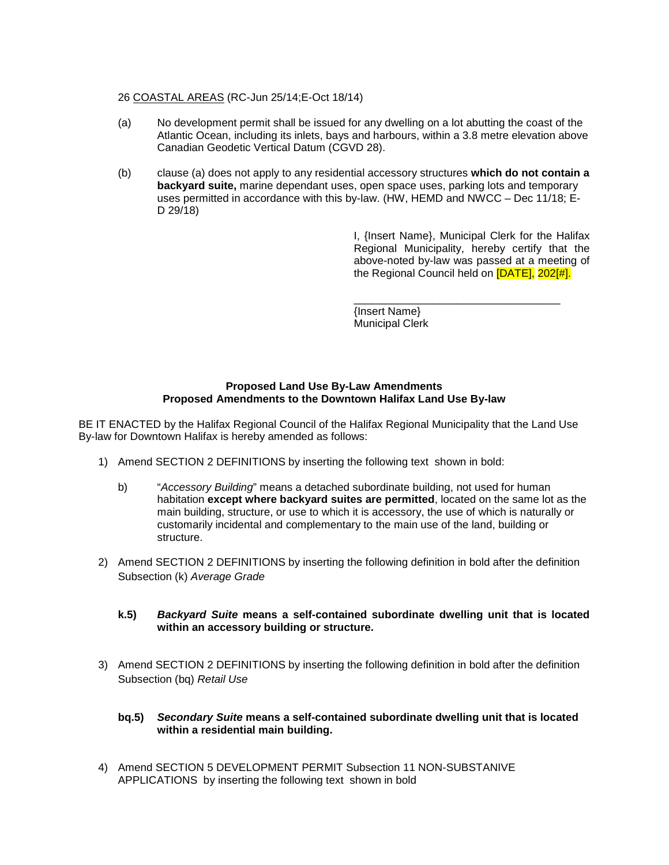#### 26 COASTAL AREAS (RC-Jun 25/14;E-Oct 18/14)

- (a) No development permit shall be issued for any dwelling on a lot abutting the coast of the Atlantic Ocean, including its inlets, bays and harbours, within a 3.8 metre elevation above Canadian Geodetic Vertical Datum (CGVD 28).
- (b) clause (a) does not apply to any residential accessory structures **which do not contain a backyard suite,** marine dependant uses, open space uses, parking lots and temporary uses permitted in accordance with this by-law. (HW, HEMD and NWCC – Dec 11/18; E-D 29/18)

I, {Insert Name}, Municipal Clerk for the Halifax Regional Municipality, hereby certify that the above-noted by-law was passed at a meeting of the Regional Council held on [DATE], 202[#].

\_\_\_\_\_\_\_\_\_\_\_\_\_\_\_\_\_\_\_\_\_\_\_\_\_\_\_\_\_\_\_\_\_\_ {Insert Name} Municipal Clerk

#### **Proposed Land Use By-Law Amendments Proposed Amendments to the Downtown Halifax Land Use By-law**

BE IT ENACTED by the Halifax Regional Council of the Halifax Regional Municipality that the Land Use By-law for Downtown Halifax is hereby amended as follows:

- 1) Amend SECTION 2 DEFINITIONS by inserting the following text shown in bold:
	- b) "*Accessory Building*" means a detached subordinate building, not used for human habitation **except where backyard suites are permitted**, located on the same lot as the main building, structure, or use to which it is accessory, the use of which is naturally or customarily incidental and complementary to the main use of the land, building or structure.
- 2) Amend SECTION 2 DEFINITIONS by inserting the following definition in bold after the definition Subsection (k) *Average Grade*
	- **k.5)** *Backyard Suite* **means a self-contained subordinate dwelling unit that is located within an accessory building or structure.**
- 3) Amend SECTION 2 DEFINITIONS by inserting the following definition in bold after the definition Subsection (bq) *Retail Use*

#### **bq.5)** *Secondary Suite* **means a self-contained subordinate dwelling unit that is located within a residential main building.**

4) Amend SECTION 5 DEVELOPMENT PERMIT Subsection 11 NON-SUBSTANIVE APPLICATIONS by inserting the following text shown in bold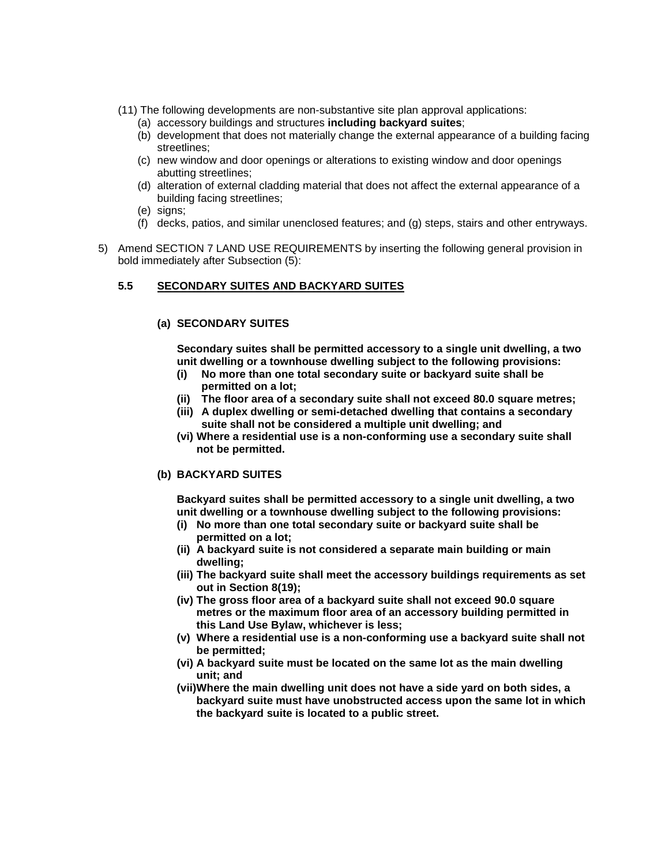- (11) The following developments are non-substantive site plan approval applications:
	- (a) accessory buildings and structures **including backyard suites**;
	- (b) development that does not materially change the external appearance of a building facing streetlines;
	- (c) new window and door openings or alterations to existing window and door openings abutting streetlines;
	- (d) alteration of external cladding material that does not affect the external appearance of a building facing streetlines;
	- (e) signs;
	- (f) decks, patios, and similar unenclosed features; and (g) steps, stairs and other entryways.
- 5) Amend SECTION 7 LAND USE REQUIREMENTS by inserting the following general provision in bold immediately after Subsection (5):

#### **5.5 SECONDARY SUITES AND BACKYARD SUITES**

#### **(a) SECONDARY SUITES**

**Secondary suites shall be permitted accessory to a single unit dwelling, a two unit dwelling or a townhouse dwelling subject to the following provisions:**

- **(i) No more than one total secondary suite or backyard suite shall be permitted on a lot;**
- **(ii) The floor area of a secondary suite shall not exceed 80.0 square metres;**
- **(iii) A duplex dwelling or semi-detached dwelling that contains a secondary suite shall not be considered a multiple unit dwelling; and**
- **(vi) Where a residential use is a non-conforming use a secondary suite shall not be permitted.**

#### **(b) BACKYARD SUITES**

**Backyard suites shall be permitted accessory to a single unit dwelling, a two unit dwelling or a townhouse dwelling subject to the following provisions:**

- **(i) No more than one total secondary suite or backyard suite shall be permitted on a lot;**
- **(ii) A backyard suite is not considered a separate main building or main dwelling;**
- **(iii) The backyard suite shall meet the accessory buildings requirements as set out in Section 8(19);**
- **(iv) The gross floor area of a backyard suite shall not exceed 90.0 square metres or the maximum floor area of an accessory building permitted in this Land Use Bylaw, whichever is less;**
- **(v) Where a residential use is a non-conforming use a backyard suite shall not be permitted;**
- **(vi) A backyard suite must be located on the same lot as the main dwelling unit; and**
- **(vii)Where the main dwelling unit does not have a side yard on both sides, a backyard suite must have unobstructed access upon the same lot in which the backyard suite is located to a public street.**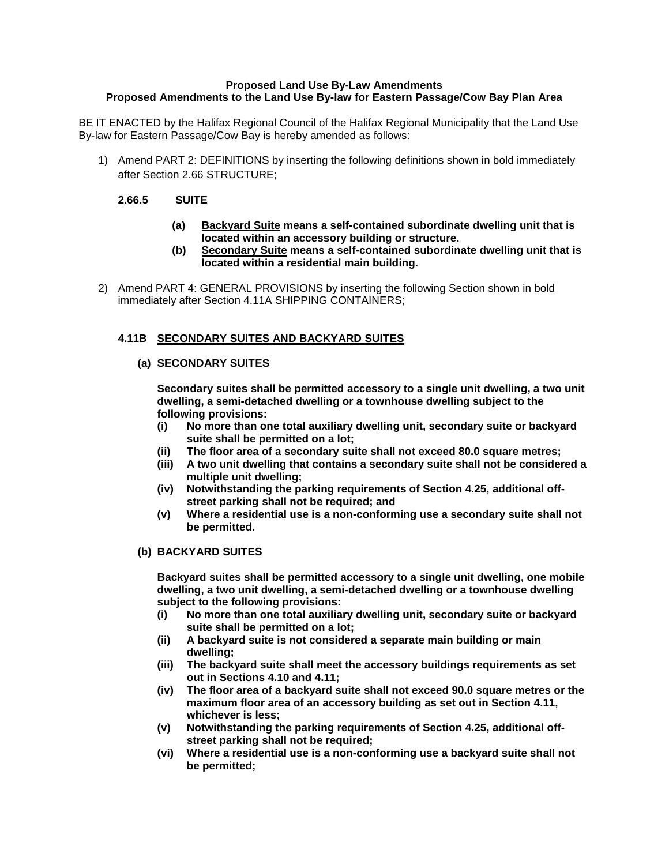## **Proposed Land Use By-Law Amendments Proposed Amendments to the Land Use By-law for Eastern Passage/Cow Bay Plan Area**

BE IT ENACTED by the Halifax Regional Council of the Halifax Regional Municipality that the Land Use By-law for Eastern Passage/Cow Bay is hereby amended as follows:

1) Amend PART 2: DEFINITIONS by inserting the following definitions shown in bold immediately after Section 2.66 STRUCTURE;

# **2.66.5 SUITE**

- **(a) Backyard Suite means a self-contained subordinate dwelling unit that is located within an accessory building or structure.**
- **(b) Secondary Suite means a self-contained subordinate dwelling unit that is located within a residential main building.**
- 2) Amend PART 4: GENERAL PROVISIONS by inserting the following Section shown in bold immediately after Section 4.11A SHIPPING CONTAINERS;

# **4.11B SECONDARY SUITES AND BACKYARD SUITES**

# **(a) SECONDARY SUITES**

**Secondary suites shall be permitted accessory to a single unit dwelling, a two unit dwelling, a semi-detached dwelling or a townhouse dwelling subject to the following provisions:**

- **(i) No more than one total auxiliary dwelling unit, secondary suite or backyard suite shall be permitted on a lot;**
- **(ii) The floor area of a secondary suite shall not exceed 80.0 square metres;**
- **(iii) A two unit dwelling that contains a secondary suite shall not be considered a multiple unit dwelling;**
- **(iv) Notwithstanding the parking requirements of Section 4.25, additional offstreet parking shall not be required; and**
- **(v) Where a residential use is a non-conforming use a secondary suite shall not be permitted.**

#### **(b) BACKYARD SUITES**

**Backyard suites shall be permitted accessory to a single unit dwelling, one mobile dwelling, a two unit dwelling, a semi-detached dwelling or a townhouse dwelling subject to the following provisions:**

- **(i) No more than one total auxiliary dwelling unit, secondary suite or backyard suite shall be permitted on a lot;**
- **(ii) A backyard suite is not considered a separate main building or main dwelling;**
- **(iii) The backyard suite shall meet the accessory buildings requirements as set out in Sections 4.10 and 4.11;**
- **(iv) The floor area of a backyard suite shall not exceed 90.0 square metres or the maximum floor area of an accessory building as set out in Section 4.11, whichever is less;**
- **(v) Notwithstanding the parking requirements of Section 4.25, additional offstreet parking shall not be required;**
- **(vi) Where a residential use is a non-conforming use a backyard suite shall not be permitted;**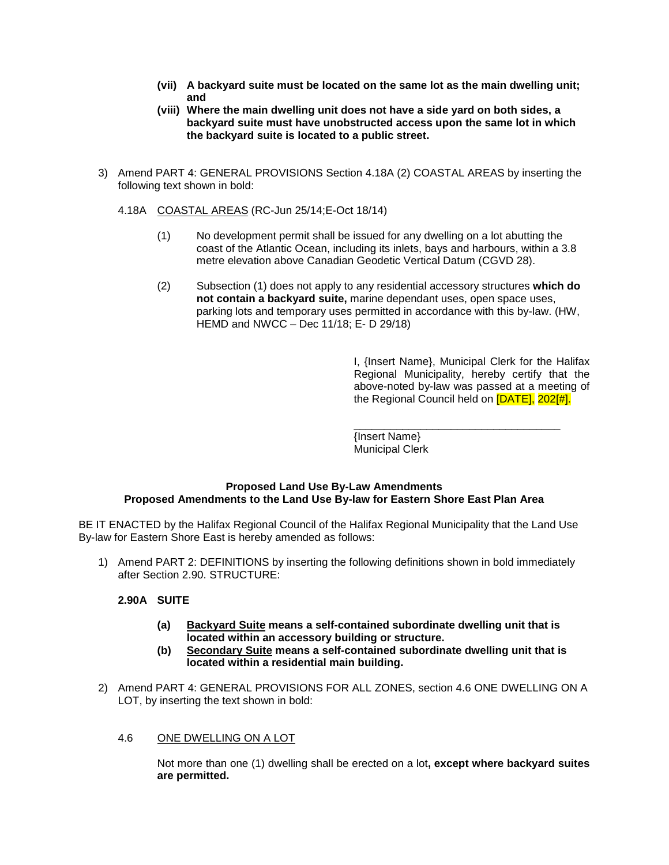- **(vii) A backyard suite must be located on the same lot as the main dwelling unit; and**
- **(viii) Where the main dwelling unit does not have a side yard on both sides, a backyard suite must have unobstructed access upon the same lot in which the backyard suite is located to a public street.**
- 3) Amend PART 4: GENERAL PROVISIONS Section 4.18A (2) COASTAL AREAS by inserting the following text shown in bold:
	- 4.18A COASTAL AREAS (RC-Jun 25/14;E-Oct 18/14)
		- (1) No development permit shall be issued for any dwelling on a lot abutting the coast of the Atlantic Ocean, including its inlets, bays and harbours, within a 3.8 metre elevation above Canadian Geodetic Vertical Datum (CGVD 28).
		- (2) Subsection (1) does not apply to any residential accessory structures **which do not contain a backyard suite,** marine dependant uses, open space uses, parking lots and temporary uses permitted in accordance with this by-law. (HW, HEMD and NWCC – Dec 11/18; E- D 29/18)

I, {Insert Name}, Municipal Clerk for the Halifax Regional Municipality, hereby certify that the above-noted by-law was passed at a meeting of the Regional Council held on [DATE], 202[#].

\_\_\_\_\_\_\_\_\_\_\_\_\_\_\_\_\_\_\_\_\_\_\_\_\_\_\_\_\_\_\_\_\_\_ {Insert Name} Municipal Clerk

#### **Proposed Land Use By-Law Amendments Proposed Amendments to the Land Use By-law for Eastern Shore East Plan Area**

BE IT ENACTED by the Halifax Regional Council of the Halifax Regional Municipality that the Land Use By-law for Eastern Shore East is hereby amended as follows:

1) Amend PART 2: DEFINITIONS by inserting the following definitions shown in bold immediately after Section 2.90. STRUCTURE:

# **2.90A SUITE**

- **(a) Backyard Suite means a self-contained subordinate dwelling unit that is located within an accessory building or structure.**
- **(b) Secondary Suite means a self-contained subordinate dwelling unit that is located within a residential main building.**
- 2) Amend PART 4: GENERAL PROVISIONS FOR ALL ZONES, section 4.6 ONE DWELLING ON A LOT, by inserting the text shown in bold:

#### 4.6 ONE DWELLING ON A LOT

Not more than one (1) dwelling shall be erected on a lot**, except where backyard suites are permitted.**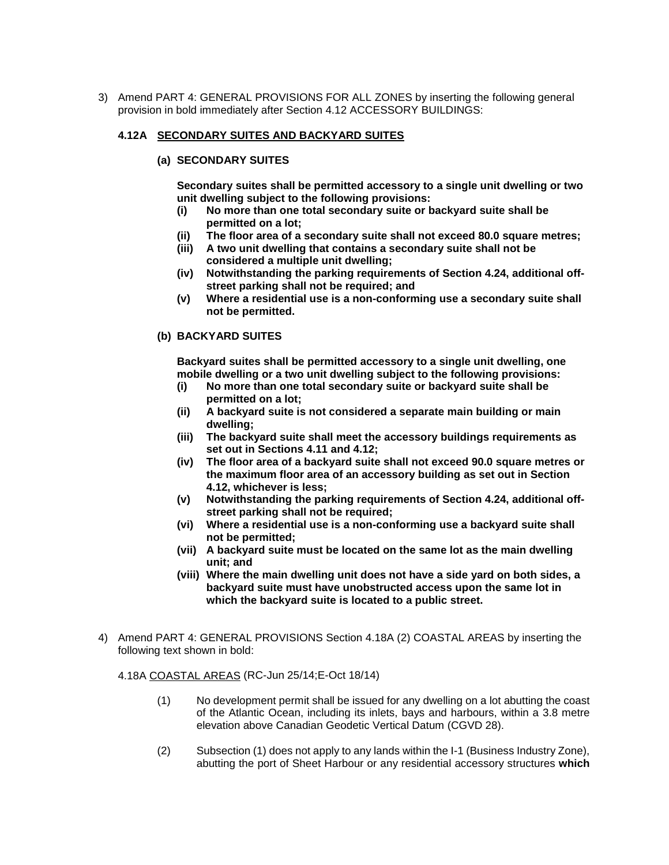3) Amend PART 4: GENERAL PROVISIONS FOR ALL ZONES by inserting the following general provision in bold immediately after Section 4.12 ACCESSORY BUILDINGS:

#### **4.12A SECONDARY SUITES AND BACKYARD SUITES**

#### **(a) SECONDARY SUITES**

**Secondary suites shall be permitted accessory to a single unit dwelling or two unit dwelling subject to the following provisions:**

- **(i) No more than one total secondary suite or backyard suite shall be permitted on a lot;**
- **(ii) The floor area of a secondary suite shall not exceed 80.0 square metres;**
- **(iii) A two unit dwelling that contains a secondary suite shall not be considered a multiple unit dwelling;**
- **(iv) Notwithstanding the parking requirements of Section 4.24, additional offstreet parking shall not be required; and**
- **(v) Where a residential use is a non-conforming use a secondary suite shall not be permitted.**

#### **(b) BACKYARD SUITES**

**Backyard suites shall be permitted accessory to a single unit dwelling, one mobile dwelling or a two unit dwelling subject to the following provisions:**

- **(i) No more than one total secondary suite or backyard suite shall be permitted on a lot;**
- **(ii) A backyard suite is not considered a separate main building or main dwelling;**
- **(iii) The backyard suite shall meet the accessory buildings requirements as set out in Sections 4.11 and 4.12;**
- **(iv) The floor area of a backyard suite shall not exceed 90.0 square metres or the maximum floor area of an accessory building as set out in Section 4.12, whichever is less;**
- **(v) Notwithstanding the parking requirements of Section 4.24, additional offstreet parking shall not be required;**
- **(vi) Where a residential use is a non-conforming use a backyard suite shall not be permitted;**
- **(vii) A backyard suite must be located on the same lot as the main dwelling unit; and**
- **(viii) Where the main dwelling unit does not have a side yard on both sides, a backyard suite must have unobstructed access upon the same lot in which the backyard suite is located to a public street.**
- 4) Amend PART 4: GENERAL PROVISIONS Section 4.18A (2) COASTAL AREAS by inserting the following text shown in bold:

#### 4.18A COASTAL AREAS (RC-Jun 25/14;E-Oct 18/14)

- (1) No development permit shall be issued for any dwelling on a lot abutting the coast of the Atlantic Ocean, including its inlets, bays and harbours, within a 3.8 metre elevation above Canadian Geodetic Vertical Datum (CGVD 28).
- (2) Subsection (1) does not apply to any lands within the I-1 (Business Industry Zone), abutting the port of Sheet Harbour or any residential accessory structures **which**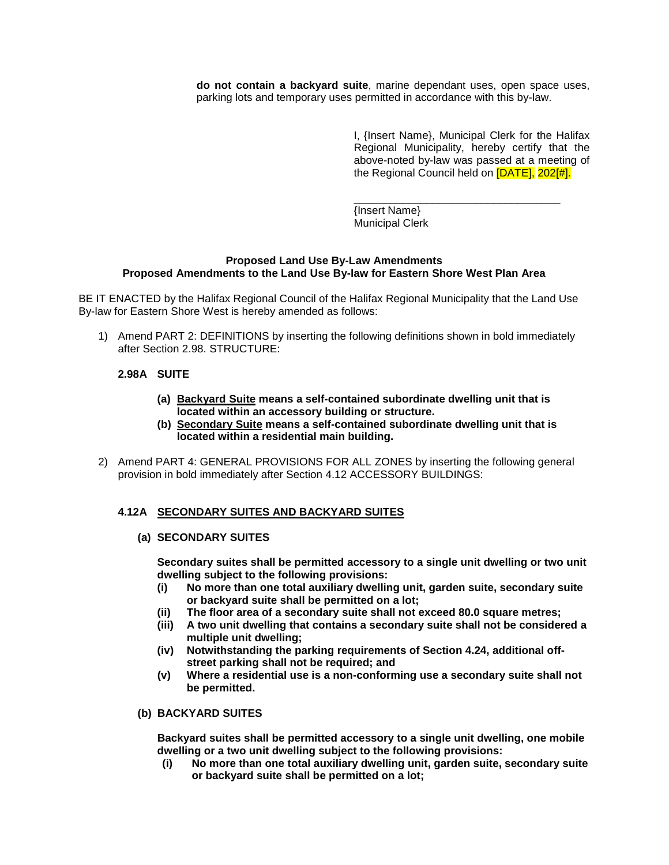**do not contain a backyard suite**, marine dependant uses, open space uses, parking lots and temporary uses permitted in accordance with this by-law.

> I, {Insert Name}, Municipal Clerk for the Halifax Regional Municipality, hereby certify that the above-noted by-law was passed at a meeting of the Regional Council held on **[DATE]**, 202[#].

\_\_\_\_\_\_\_\_\_\_\_\_\_\_\_\_\_\_\_\_\_\_\_\_\_\_\_\_\_\_\_\_\_\_ {Insert Name} Municipal Clerk

#### **Proposed Land Use By-Law Amendments Proposed Amendments to the Land Use By-law for Eastern Shore West Plan Area**

BE IT ENACTED by the Halifax Regional Council of the Halifax Regional Municipality that the Land Use By-law for Eastern Shore West is hereby amended as follows:

1) Amend PART 2: DEFINITIONS by inserting the following definitions shown in bold immediately after Section 2.98. STRUCTURE:

# **2.98A SUITE**

- **(a) Backyard Suite means a self-contained subordinate dwelling unit that is located within an accessory building or structure.**
- **(b) Secondary Suite means a self-contained subordinate dwelling unit that is located within a residential main building.**
- 2) Amend PART 4: GENERAL PROVISIONS FOR ALL ZONES by inserting the following general provision in bold immediately after Section 4.12 ACCESSORY BUILDINGS:

#### **4.12A SECONDARY SUITES AND BACKYARD SUITES**

#### **(a) SECONDARY SUITES**

**Secondary suites shall be permitted accessory to a single unit dwelling or two unit dwelling subject to the following provisions:**

- **(i) No more than one total auxiliary dwelling unit, garden suite, secondary suite or backyard suite shall be permitted on a lot;**
- **(ii) The floor area of a secondary suite shall not exceed 80.0 square metres;**
- **(iii) A two unit dwelling that contains a secondary suite shall not be considered a multiple unit dwelling;**
- **(iv) Notwithstanding the parking requirements of Section 4.24, additional offstreet parking shall not be required; and**
- **(v) Where a residential use is a non-conforming use a secondary suite shall not be permitted.**

#### **(b) BACKYARD SUITES**

**Backyard suites shall be permitted accessory to a single unit dwelling, one mobile dwelling or a two unit dwelling subject to the following provisions:**

**(i) No more than one total auxiliary dwelling unit, garden suite, secondary suite or backyard suite shall be permitted on a lot;**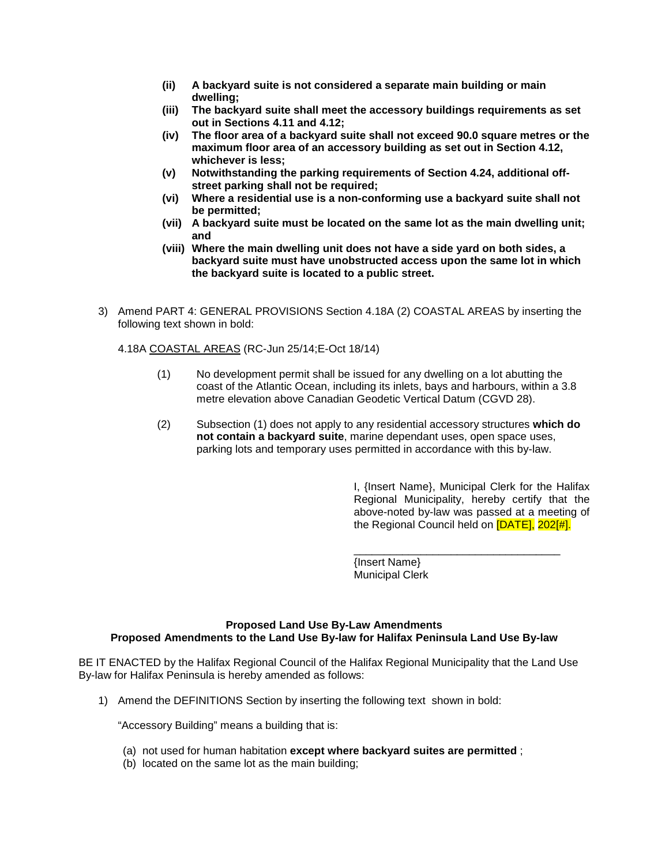- **(ii) A backyard suite is not considered a separate main building or main dwelling;**
- **(iii) The backyard suite shall meet the accessory buildings requirements as set out in Sections 4.11 and 4.12;**
- **(iv) The floor area of a backyard suite shall not exceed 90.0 square metres or the maximum floor area of an accessory building as set out in Section 4.12, whichever is less;**
- **(v) Notwithstanding the parking requirements of Section 4.24, additional offstreet parking shall not be required;**
- **(vi) Where a residential use is a non-conforming use a backyard suite shall not be permitted;**
- **(vii) A backyard suite must be located on the same lot as the main dwelling unit; and**
- **(viii) Where the main dwelling unit does not have a side yard on both sides, a backyard suite must have unobstructed access upon the same lot in which the backyard suite is located to a public street.**
- 3) Amend PART 4: GENERAL PROVISIONS Section 4.18A (2) COASTAL AREAS by inserting the following text shown in bold:

4.18A COASTAL AREAS (RC-Jun 25/14;E-Oct 18/14)

- (1) No development permit shall be issued for any dwelling on a lot abutting the coast of the Atlantic Ocean, including its inlets, bays and harbours, within a 3.8 metre elevation above Canadian Geodetic Vertical Datum (CGVD 28).
- (2) Subsection (1) does not apply to any residential accessory structures **which do not contain a backyard suite**, marine dependant uses, open space uses, parking lots and temporary uses permitted in accordance with this by-law.

I, {Insert Name}, Municipal Clerk for the Halifax Regional Municipality, hereby certify that the above-noted by-law was passed at a meeting of the Regional Council held on [DATE], 202[#].

\_\_\_\_\_\_\_\_\_\_\_\_\_\_\_\_\_\_\_\_\_\_\_\_\_\_\_\_\_\_\_\_\_\_

{Insert Name} Municipal Clerk

#### **Proposed Land Use By-Law Amendments Proposed Amendments to the Land Use By-law for Halifax Peninsula Land Use By-law**

BE IT ENACTED by the Halifax Regional Council of the Halifax Regional Municipality that the Land Use By-law for Halifax Peninsula is hereby amended as follows:

1) Amend the DEFINITIONS Section by inserting the following text shown in bold:

"Accessory Building" means a building that is:

- (a) not used for human habitation **except where backyard suites are permitted** ;
- (b) located on the same lot as the main building;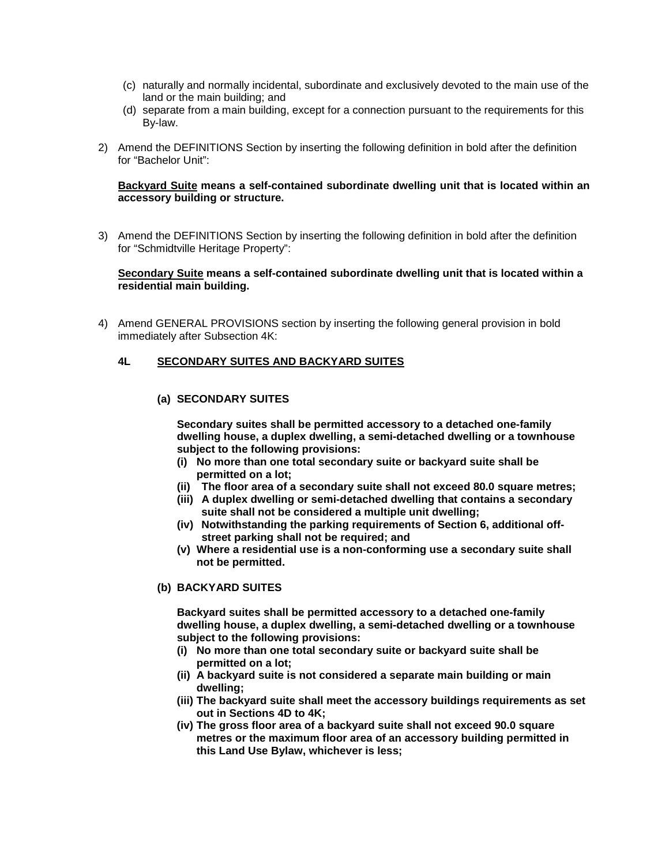- (c) naturally and normally incidental, subordinate and exclusively devoted to the main use of the land or the main building; and
- (d) separate from a main building, except for a connection pursuant to the requirements for this By-law.
- 2) Amend the DEFINITIONS Section by inserting the following definition in bold after the definition for "Bachelor Unit":

#### **Backyard Suite means a self-contained subordinate dwelling unit that is located within an accessory building or structure.**

3) Amend the DEFINITIONS Section by inserting the following definition in bold after the definition for "Schmidtville Heritage Property":

#### **Secondary Suite means a self-contained subordinate dwelling unit that is located within a residential main building.**

4) Amend GENERAL PROVISIONS section by inserting the following general provision in bold immediately after Subsection 4K:

#### **4L SECONDARY SUITES AND BACKYARD SUITES**

#### **(a) SECONDARY SUITES**

**Secondary suites shall be permitted accessory to a detached one-family dwelling house, a duplex dwelling, a semi-detached dwelling or a townhouse subject to the following provisions:**

- **(i) No more than one total secondary suite or backyard suite shall be permitted on a lot;**
- **(ii) The floor area of a secondary suite shall not exceed 80.0 square metres;**
- **(iii) A duplex dwelling or semi-detached dwelling that contains a secondary suite shall not be considered a multiple unit dwelling;**
- **(iv) Notwithstanding the parking requirements of Section 6, additional offstreet parking shall not be required; and**
- **(v) Where a residential use is a non-conforming use a secondary suite shall not be permitted.**

#### **(b) BACKYARD SUITES**

**Backyard suites shall be permitted accessory to a detached one-family dwelling house, a duplex dwelling, a semi-detached dwelling or a townhouse subject to the following provisions:**

- **(i) No more than one total secondary suite or backyard suite shall be permitted on a lot;**
- **(ii) A backyard suite is not considered a separate main building or main dwelling;**
- **(iii) The backyard suite shall meet the accessory buildings requirements as set out in Sections 4D to 4K;**
- **(iv) The gross floor area of a backyard suite shall not exceed 90.0 square metres or the maximum floor area of an accessory building permitted in this Land Use Bylaw, whichever is less;**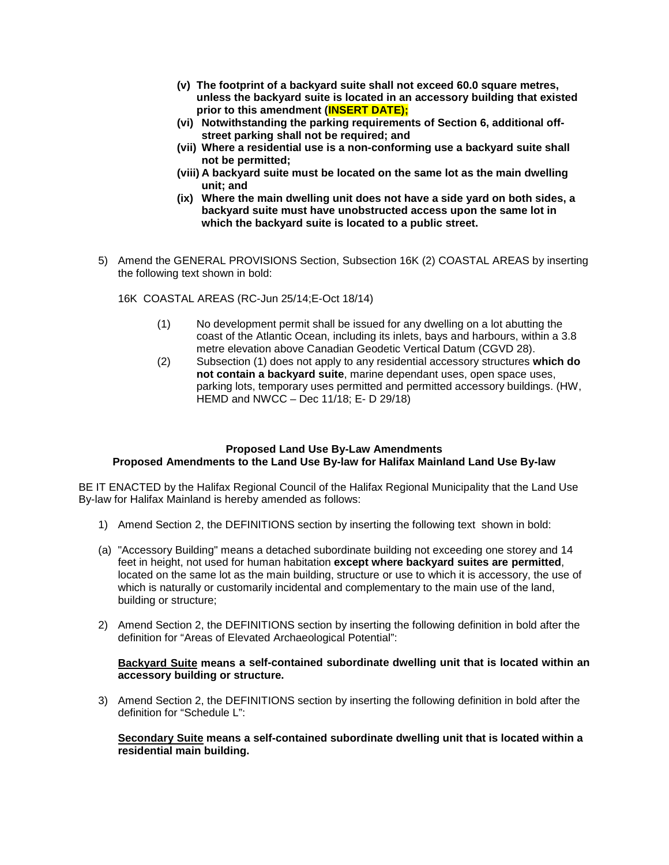- **(v) The footprint of a backyard suite shall not exceed 60.0 square metres, unless the backyard suite is located in an accessory building that existed prior to this amendment (INSERT DATE);**
- **(vi) Notwithstanding the parking requirements of Section 6, additional offstreet parking shall not be required; and**
- **(vii) Where a residential use is a non-conforming use a backyard suite shall not be permitted;**
- **(viii) A backyard suite must be located on the same lot as the main dwelling unit; and**
- **(ix) Where the main dwelling unit does not have a side yard on both sides, a backyard suite must have unobstructed access upon the same lot in which the backyard suite is located to a public street.**
- 5) Amend the GENERAL PROVISIONS Section, Subsection 16K (2) COASTAL AREAS by inserting the following text shown in bold:

16K COASTAL AREAS (RC-Jun 25/14;E-Oct 18/14)

- (1) No development permit shall be issued for any dwelling on a lot abutting the coast of the Atlantic Ocean, including its inlets, bays and harbours, within a 3.8 metre elevation above Canadian Geodetic Vertical Datum (CGVD 28).
- (2) Subsection (1) does not apply to any residential accessory structures **which do not contain a backyard suite**, marine dependant uses, open space uses, parking lots, temporary uses permitted and permitted accessory buildings. (HW, HEMD and NWCC – Dec 11/18; E- D 29/18)

#### **Proposed Land Use By-Law Amendments Proposed Amendments to the Land Use By-law for Halifax Mainland Land Use By-law**

BE IT ENACTED by the Halifax Regional Council of the Halifax Regional Municipality that the Land Use By-law for Halifax Mainland is hereby amended as follows:

- 1) Amend Section 2, the DEFINITIONS section by inserting the following text shown in bold:
- (a) "Accessory Building" means a detached subordinate building not exceeding one storey and 14 feet in height, not used for human habitation **except where backyard suites are permitted**, located on the same lot as the main building, structure or use to which it is accessory, the use of which is naturally or customarily incidental and complementary to the main use of the land, building or structure;
- 2) Amend Section 2, the DEFINITIONS section by inserting the following definition in bold after the definition for "Areas of Elevated Archaeological Potential":

#### **Backyard Suite means a self-contained subordinate dwelling unit that is located within an accessory building or structure.**

3) Amend Section 2, the DEFINITIONS section by inserting the following definition in bold after the definition for "Schedule L":

#### **Secondary Suite means a self-contained subordinate dwelling unit that is located within a residential main building.**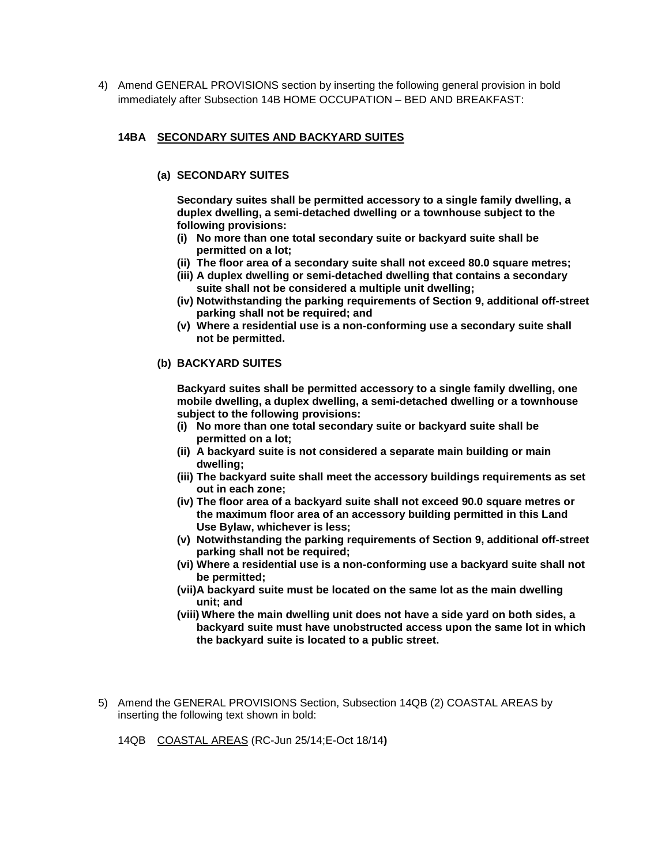4) Amend GENERAL PROVISIONS section by inserting the following general provision in bold immediately after Subsection 14B HOME OCCUPATION – BED AND BREAKFAST:

#### **14BA SECONDARY SUITES AND BACKYARD SUITES**

#### **(a) SECONDARY SUITES**

**Secondary suites shall be permitted accessory to a single family dwelling, a duplex dwelling, a semi-detached dwelling or a townhouse subject to the following provisions:**

- **(i) No more than one total secondary suite or backyard suite shall be permitted on a lot;**
- **(ii) The floor area of a secondary suite shall not exceed 80.0 square metres;**
- **(iii) A duplex dwelling or semi-detached dwelling that contains a secondary suite shall not be considered a multiple unit dwelling;**
- **(iv) Notwithstanding the parking requirements of Section 9, additional off-street parking shall not be required; and**
- **(v) Where a residential use is a non-conforming use a secondary suite shall not be permitted.**

#### **(b) BACKYARD SUITES**

**Backyard suites shall be permitted accessory to a single family dwelling, one mobile dwelling, a duplex dwelling, a semi-detached dwelling or a townhouse subject to the following provisions:**

- **(i) No more than one total secondary suite or backyard suite shall be permitted on a lot;**
- **(ii) A backyard suite is not considered a separate main building or main dwelling;**
- **(iii) The backyard suite shall meet the accessory buildings requirements as set out in each zone;**
- **(iv) The floor area of a backyard suite shall not exceed 90.0 square metres or the maximum floor area of an accessory building permitted in this Land Use Bylaw, whichever is less;**
- **(v) Notwithstanding the parking requirements of Section 9, additional off-street parking shall not be required;**
- **(vi) Where a residential use is a non-conforming use a backyard suite shall not be permitted;**
- **(vii)A backyard suite must be located on the same lot as the main dwelling unit; and**
- **(viii) Where the main dwelling unit does not have a side yard on both sides, a backyard suite must have unobstructed access upon the same lot in which the backyard suite is located to a public street.**
- 5) Amend the GENERAL PROVISIONS Section, Subsection 14QB (2) COASTAL AREAS by inserting the following text shown in bold:

14QB COASTAL AREAS (RC-Jun 25/14;E-Oct 18/14**)**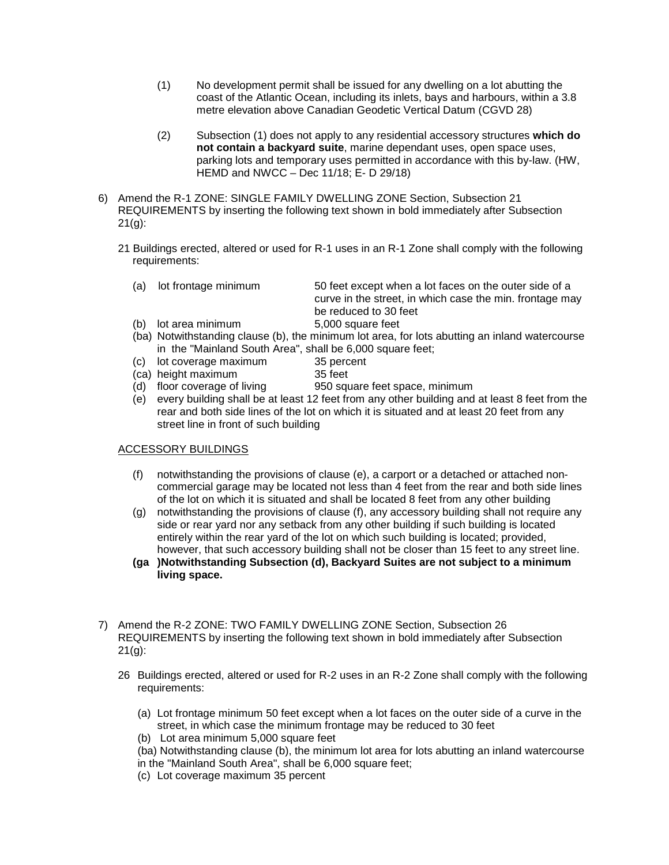- (1) No development permit shall be issued for any dwelling on a lot abutting the coast of the Atlantic Ocean, including its inlets, bays and harbours, within a 3.8 metre elevation above Canadian Geodetic Vertical Datum (CGVD 28)
- (2) Subsection (1) does not apply to any residential accessory structures **which do not contain a backyard suite**, marine dependant uses, open space uses, parking lots and temporary uses permitted in accordance with this by-law. (HW, HEMD and NWCC – Dec 11/18; E- D 29/18)
- 6) Amend the R-1 ZONE: SINGLE FAMILY DWELLING ZONE Section, Subsection 21 REQUIREMENTS by inserting the following text shown in bold immediately after Subsection  $21(q)$ :
	- 21 Buildings erected, altered or used for R-1 uses in an R-1 Zone shall comply with the following requirements:
		- (a) lot frontage minimum 50 feet except when a lot faces on the outer side of a curve in the street, in which case the min. frontage may be reduced to 30 feet (b) lot area minimum 5,000 square feet
		- (ba) Notwithstanding clause (b), the minimum lot area, for lots abutting an inland watercourse in the "Mainland South Area", shall be 6,000 square feet;
			-
		- (c) lot coverage maximum 35 percent<br>(ca) height maximum 35 feet  $(ca)$  height maximum
			-
		- (d) floor coverage of living 950 square feet space, minimum
		- (e) every building shall be at least 12 feet from any other building and at least 8 feet from the rear and both side lines of the lot on which it is situated and at least 20 feet from any street line in front of such building

# ACCESSORY BUILDINGS

- (f) notwithstanding the provisions of clause (e), a carport or a detached or attached noncommercial garage may be located not less than 4 feet from the rear and both side lines of the lot on which it is situated and shall be located 8 feet from any other building
- (g) notwithstanding the provisions of clause (f), any accessory building shall not require any side or rear yard nor any setback from any other building if such building is located entirely within the rear yard of the lot on which such building is located; provided, however, that such accessory building shall not be closer than 15 feet to any street line.
- **(ga )Notwithstanding Subsection (d), Backyard Suites are not subject to a minimum living space.**
- 7) Amend the R-2 ZONE: TWO FAMILY DWELLING ZONE Section, Subsection 26 REQUIREMENTS by inserting the following text shown in bold immediately after Subsection  $21(q)$ :
	- 26 Buildings erected, altered or used for R-2 uses in an R-2 Zone shall comply with the following requirements:
		- (a) Lot frontage minimum 50 feet except when a lot faces on the outer side of a curve in the street, in which case the minimum frontage may be reduced to 30 feet
		- (b) Lot area minimum 5,000 square feet
		- (ba) Notwithstanding clause (b), the minimum lot area for lots abutting an inland watercourse in the "Mainland South Area", shall be 6,000 square feet;
		- (c) Lot coverage maximum 35 percent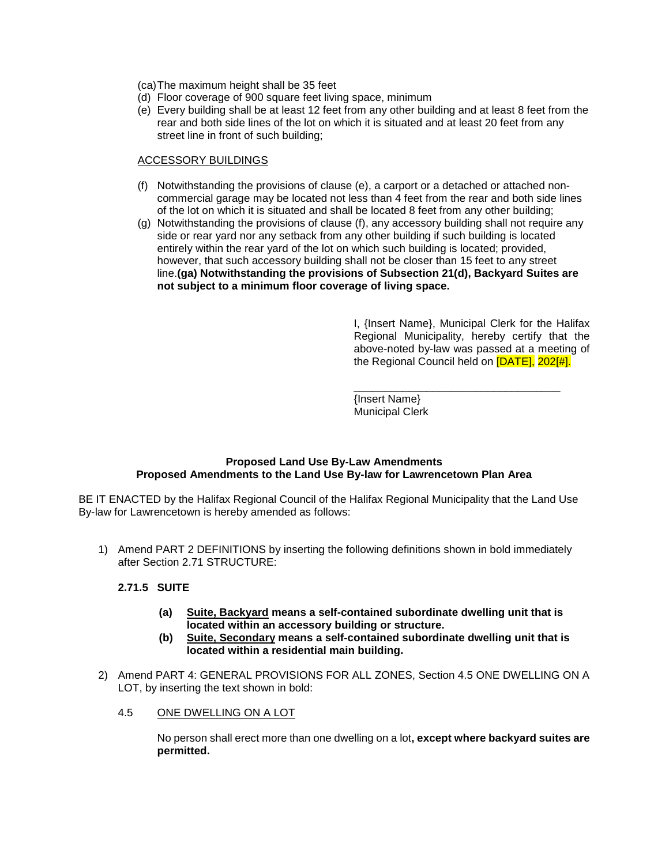(ca)The maximum height shall be 35 feet

- (d) Floor coverage of 900 square feet living space, minimum
- (e) Every building shall be at least 12 feet from any other building and at least 8 feet from the rear and both side lines of the lot on which it is situated and at least 20 feet from any street line in front of such building;

# ACCESSORY BUILDINGS

- (f) Notwithstanding the provisions of clause (e), a carport or a detached or attached noncommercial garage may be located not less than 4 feet from the rear and both side lines of the lot on which it is situated and shall be located 8 feet from any other building;
- (g) Notwithstanding the provisions of clause (f), any accessory building shall not require any side or rear yard nor any setback from any other building if such building is located entirely within the rear yard of the lot on which such building is located; provided, however, that such accessory building shall not be closer than 15 feet to any street line.**(ga) Notwithstanding the provisions of Subsection 21(d), Backyard Suites are not subject to a minimum floor coverage of living space.**

I, {Insert Name}, Municipal Clerk for the Halifax Regional Municipality, hereby certify that the above-noted by-law was passed at a meeting of the Regional Council held on [DATE], 202[#].

\_\_\_\_\_\_\_\_\_\_\_\_\_\_\_\_\_\_\_\_\_\_\_\_\_\_\_\_\_\_\_\_\_\_ {Insert Name} Municipal Clerk

#### **Proposed Land Use By-Law Amendments Proposed Amendments to the Land Use By-law for Lawrencetown Plan Area**

BE IT ENACTED by the Halifax Regional Council of the Halifax Regional Municipality that the Land Use By-law for Lawrencetown is hereby amended as follows:

1) Amend PART 2 DEFINITIONS by inserting the following definitions shown in bold immediately after Section 2.71 STRUCTURE:

# **2.71.5 SUITE**

- **(a) Suite, Backyard means a self-contained subordinate dwelling unit that is located within an accessory building or structure.**
- **(b) Suite, Secondary means a self-contained subordinate dwelling unit that is located within a residential main building.**
- 2) Amend PART 4: GENERAL PROVISIONS FOR ALL ZONES, Section 4.5 ONE DWELLING ON A LOT, by inserting the text shown in bold:
	- 4.5 ONE DWELLING ON A LOT

No person shall erect more than one dwelling on a lot**, except where backyard suites are permitted.**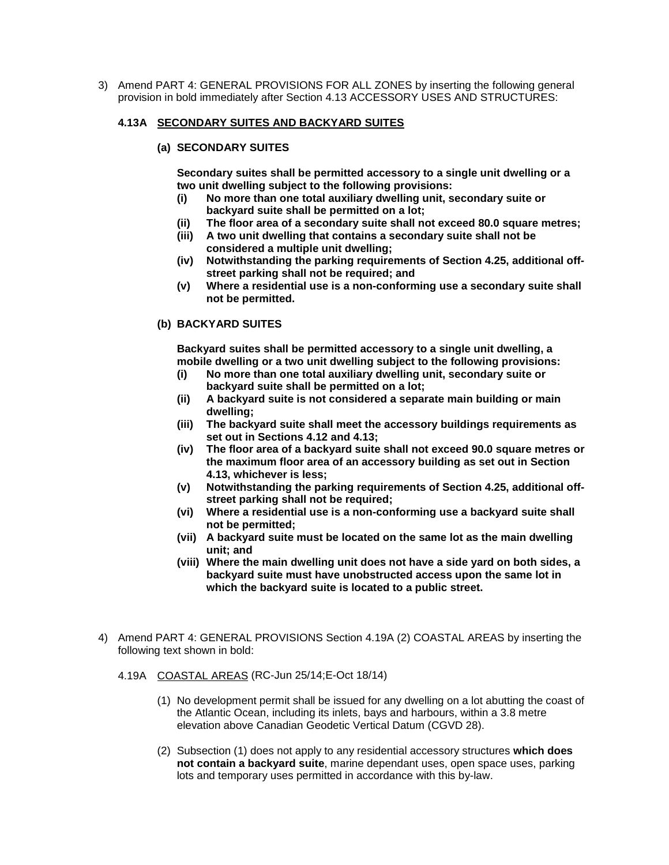3) Amend PART 4: GENERAL PROVISIONS FOR ALL ZONES by inserting the following general provision in bold immediately after Section 4.13 ACCESSORY USES AND STRUCTURES:

#### **4.13A SECONDARY SUITES AND BACKYARD SUITES**

**(a) SECONDARY SUITES** 

**Secondary suites shall be permitted accessory to a single unit dwelling or a two unit dwelling subject to the following provisions:**

- **(i) No more than one total auxiliary dwelling unit, secondary suite or backyard suite shall be permitted on a lot;**
- **(ii) The floor area of a secondary suite shall not exceed 80.0 square metres;**
- **(iii) A two unit dwelling that contains a secondary suite shall not be considered a multiple unit dwelling;**
- **(iv) Notwithstanding the parking requirements of Section 4.25, additional offstreet parking shall not be required; and**
- **(v) Where a residential use is a non-conforming use a secondary suite shall not be permitted.**

# **(b) BACKYARD SUITES**

**Backyard suites shall be permitted accessory to a single unit dwelling, a mobile dwelling or a two unit dwelling subject to the following provisions:**

- **(i) No more than one total auxiliary dwelling unit, secondary suite or backyard suite shall be permitted on a lot;**
- **(ii) A backyard suite is not considered a separate main building or main dwelling;**
- **(iii) The backyard suite shall meet the accessory buildings requirements as set out in Sections 4.12 and 4.13;**
- **(iv) The floor area of a backyard suite shall not exceed 90.0 square metres or the maximum floor area of an accessory building as set out in Section 4.13, whichever is less;**
- **(v) Notwithstanding the parking requirements of Section 4.25, additional offstreet parking shall not be required;**
- **(vi) Where a residential use is a non-conforming use a backyard suite shall not be permitted;**
- **(vii) A backyard suite must be located on the same lot as the main dwelling unit; and**
- **(viii) Where the main dwelling unit does not have a side yard on both sides, a backyard suite must have unobstructed access upon the same lot in which the backyard suite is located to a public street.**
- 4) Amend PART 4: GENERAL PROVISIONS Section 4.19A (2) COASTAL AREAS by inserting the following text shown in bold:
	- 4.19A COASTAL AREAS (RC-Jun 25/14;E-Oct 18/14)
		- (1) No development permit shall be issued for any dwelling on a lot abutting the coast of the Atlantic Ocean, including its inlets, bays and harbours, within a 3.8 metre elevation above Canadian Geodetic Vertical Datum (CGVD 28).
		- (2) Subsection (1) does not apply to any residential accessory structures **which does not contain a backyard suite**, marine dependant uses, open space uses, parking lots and temporary uses permitted in accordance with this by-law.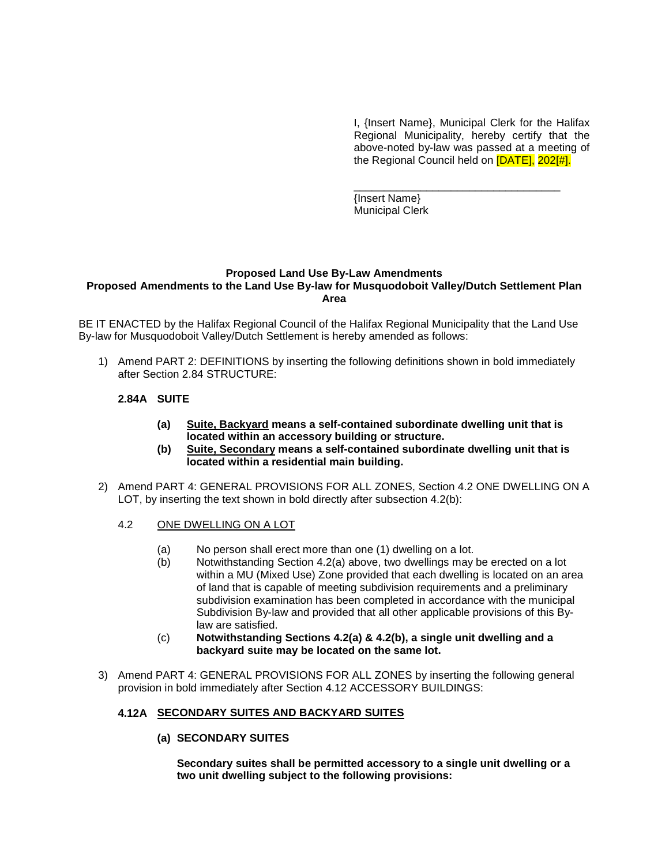I, {Insert Name}, Municipal Clerk for the Halifax Regional Municipality, hereby certify that the above-noted by-law was passed at a meeting of the Regional Council held on [DATE], 202[#].

\_\_\_\_\_\_\_\_\_\_\_\_\_\_\_\_\_\_\_\_\_\_\_\_\_\_\_\_\_\_\_\_\_\_ {Insert Name} Municipal Clerk

#### **Proposed Land Use By-Law Amendments Proposed Amendments to the Land Use By-law for Musquodoboit Valley/Dutch Settlement Plan Area**

BE IT ENACTED by the Halifax Regional Council of the Halifax Regional Municipality that the Land Use By-law for Musquodoboit Valley/Dutch Settlement is hereby amended as follows:

1) Amend PART 2: DEFINITIONS by inserting the following definitions shown in bold immediately after Section 2.84 STRUCTURE:

#### **2.84A SUITE**

- **(a) Suite, Backyard means a self-contained subordinate dwelling unit that is located within an accessory building or structure.**
- **(b) Suite, Secondary means a self-contained subordinate dwelling unit that is located within a residential main building.**
- 2) Amend PART 4: GENERAL PROVISIONS FOR ALL ZONES, Section 4.2 ONE DWELLING ON A LOT, by inserting the text shown in bold directly after subsection 4.2(b):
	- 4.2 ONE DWELLING ON A LOT
		- (a) No person shall erect more than one (1) dwelling on a lot.
		- (b) Notwithstanding Section 4.2(a) above, two dwellings may be erected on a lot within a MU (Mixed Use) Zone provided that each dwelling is located on an area of land that is capable of meeting subdivision requirements and a preliminary subdivision examination has been completed in accordance with the municipal Subdivision By-law and provided that all other applicable provisions of this Bylaw are satisfied.
		- (c) **Notwithstanding Sections 4.2(a) & 4.2(b), a single unit dwelling and a backyard suite may be located on the same lot.**
- 3) Amend PART 4: GENERAL PROVISIONS FOR ALL ZONES by inserting the following general provision in bold immediately after Section 4.12 ACCESSORY BUILDINGS:

#### **4.12A SECONDARY SUITES AND BACKYARD SUITES**

**(a) SECONDARY SUITES** 

**Secondary suites shall be permitted accessory to a single unit dwelling or a two unit dwelling subject to the following provisions:**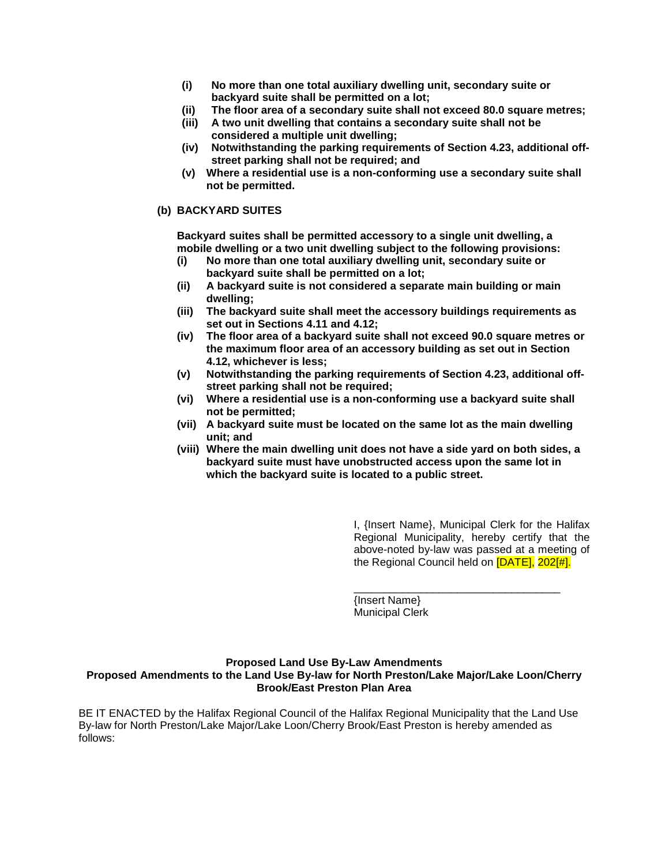- **(i) No more than one total auxiliary dwelling unit, secondary suite or backyard suite shall be permitted on a lot;**
- **(ii) The floor area of a secondary suite shall not exceed 80.0 square metres;**
- **(iii) A two unit dwelling that contains a secondary suite shall not be considered a multiple unit dwelling;**
- **(iv) Notwithstanding the parking requirements of Section 4.23, additional offstreet parking shall not be required; and**
- **(v) Where a residential use is a non-conforming use a secondary suite shall not be permitted.**

#### **(b) BACKYARD SUITES**

**Backyard suites shall be permitted accessory to a single unit dwelling, a mobile dwelling or a two unit dwelling subject to the following provisions:**

- **(i) No more than one total auxiliary dwelling unit, secondary suite or backyard suite shall be permitted on a lot;**
- **(ii) A backyard suite is not considered a separate main building or main dwelling;**
- **(iii) The backyard suite shall meet the accessory buildings requirements as set out in Sections 4.11 and 4.12;**
- **(iv) The floor area of a backyard suite shall not exceed 90.0 square metres or the maximum floor area of an accessory building as set out in Section 4.12, whichever is less;**
- **(v) Notwithstanding the parking requirements of Section 4.23, additional offstreet parking shall not be required;**
- **(vi) Where a residential use is a non-conforming use a backyard suite shall not be permitted;**
- **(vii) A backyard suite must be located on the same lot as the main dwelling unit; and**
- **(viii) Where the main dwelling unit does not have a side yard on both sides, a backyard suite must have unobstructed access upon the same lot in which the backyard suite is located to a public street.**

I, {Insert Name}, Municipal Clerk for the Halifax Regional Municipality, hereby certify that the above-noted by-law was passed at a meeting of the Regional Council held on [DATE], 202[#].

\_\_\_\_\_\_\_\_\_\_\_\_\_\_\_\_\_\_\_\_\_\_\_\_\_\_\_\_\_\_\_\_\_\_ {Insert Name} Municipal Clerk

#### **Proposed Land Use By-Law Amendments Proposed Amendments to the Land Use By-law for North Preston/Lake Major/Lake Loon/Cherry Brook/East Preston Plan Area**

BE IT ENACTED by the Halifax Regional Council of the Halifax Regional Municipality that the Land Use By-law for North Preston/Lake Major/Lake Loon/Cherry Brook/East Preston is hereby amended as follows: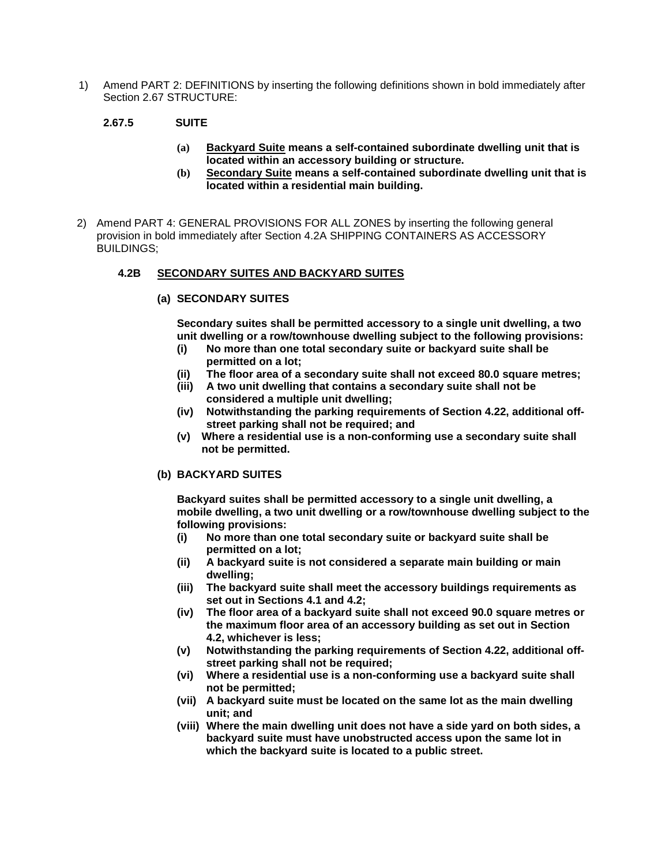1) Amend PART 2: DEFINITIONS by inserting the following definitions shown in bold immediately after Section 2.67 STRUCTURE:

# **2.67.5 SUITE**

- **(a) Backyard Suite means a self-contained subordinate dwelling unit that is located within an accessory building or structure.**
- **(b) Secondary Suite means a self-contained subordinate dwelling unit that is located within a residential main building.**
- 2) Amend PART 4: GENERAL PROVISIONS FOR ALL ZONES by inserting the following general provision in bold immediately after Section 4.2A SHIPPING CONTAINERS AS ACCESSORY BUILDINGS;

# **4.2B SECONDARY SUITES AND BACKYARD SUITES**

**(a) SECONDARY SUITES** 

**Secondary suites shall be permitted accessory to a single unit dwelling, a two unit dwelling or a row/townhouse dwelling subject to the following provisions:**

- **(i) No more than one total secondary suite or backyard suite shall be permitted on a lot;**
- **(ii) The floor area of a secondary suite shall not exceed 80.0 square metres;**
- **(iii) A two unit dwelling that contains a secondary suite shall not be considered a multiple unit dwelling;**
- **(iv) Notwithstanding the parking requirements of Section 4.22, additional offstreet parking shall not be required; and**
- **(v) Where a residential use is a non-conforming use a secondary suite shall not be permitted.**

#### **(b) BACKYARD SUITES**

**Backyard suites shall be permitted accessory to a single unit dwelling, a mobile dwelling, a two unit dwelling or a row/townhouse dwelling subject to the following provisions:**

- **(i) No more than one total secondary suite or backyard suite shall be permitted on a lot;**
- **(ii) A backyard suite is not considered a separate main building or main dwelling;**
- **(iii) The backyard suite shall meet the accessory buildings requirements as set out in Sections 4.1 and 4.2;**
- **(iv) The floor area of a backyard suite shall not exceed 90.0 square metres or the maximum floor area of an accessory building as set out in Section 4.2, whichever is less;**
- **(v) Notwithstanding the parking requirements of Section 4.22, additional offstreet parking shall not be required;**
- **(vi) Where a residential use is a non-conforming use a backyard suite shall not be permitted;**
- **(vii) A backyard suite must be located on the same lot as the main dwelling unit; and**
- **(viii) Where the main dwelling unit does not have a side yard on both sides, a backyard suite must have unobstructed access upon the same lot in which the backyard suite is located to a public street.**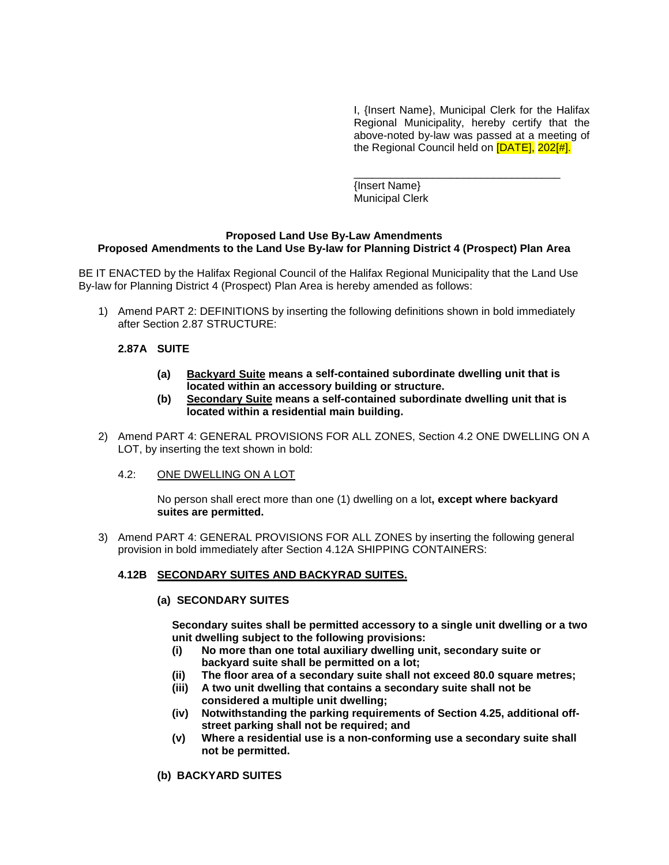I, {Insert Name}, Municipal Clerk for the Halifax Regional Municipality, hereby certify that the above-noted by-law was passed at a meeting of the Regional Council held on [DATE], 202[#].

\_\_\_\_\_\_\_\_\_\_\_\_\_\_\_\_\_\_\_\_\_\_\_\_\_\_\_\_\_\_\_\_\_\_ {Insert Name} Municipal Clerk

#### **Proposed Land Use By-Law Amendments Proposed Amendments to the Land Use By-law for Planning District 4 (Prospect) Plan Area**

BE IT ENACTED by the Halifax Regional Council of the Halifax Regional Municipality that the Land Use By-law for Planning District 4 (Prospect) Plan Area is hereby amended as follows:

1) Amend PART 2: DEFINITIONS by inserting the following definitions shown in bold immediately after Section 2.87 STRUCTURE:

#### **2.87A SUITE**

- **(a) Backyard Suite means a self-contained subordinate dwelling unit that is located within an accessory building or structure.**
- **(b) Secondary Suite means a self-contained subordinate dwelling unit that is located within a residential main building.**
- 2) Amend PART 4: GENERAL PROVISIONS FOR ALL ZONES, Section 4.2 ONE DWELLING ON A LOT, by inserting the text shown in bold:
	- 4.2: ONE DWELLING ON A LOT

No person shall erect more than one (1) dwelling on a lot**, except where backyard suites are permitted.**

3) Amend PART 4: GENERAL PROVISIONS FOR ALL ZONES by inserting the following general provision in bold immediately after Section 4.12A SHIPPING CONTAINERS:

#### **4.12B SECONDARY SUITES AND BACKYRAD SUITES.**

#### **(a) SECONDARY SUITES**

**Secondary suites shall be permitted accessory to a single unit dwelling or a two unit dwelling subject to the following provisions:**

- **(i) No more than one total auxiliary dwelling unit, secondary suite or backyard suite shall be permitted on a lot;**
- **(ii) The floor area of a secondary suite shall not exceed 80.0 square metres;**
- **(iii) A two unit dwelling that contains a secondary suite shall not be considered a multiple unit dwelling;**
- **(iv) Notwithstanding the parking requirements of Section 4.25, additional offstreet parking shall not be required; and**
- **(v) Where a residential use is a non-conforming use a secondary suite shall not be permitted.**
- **(b) BACKYARD SUITES**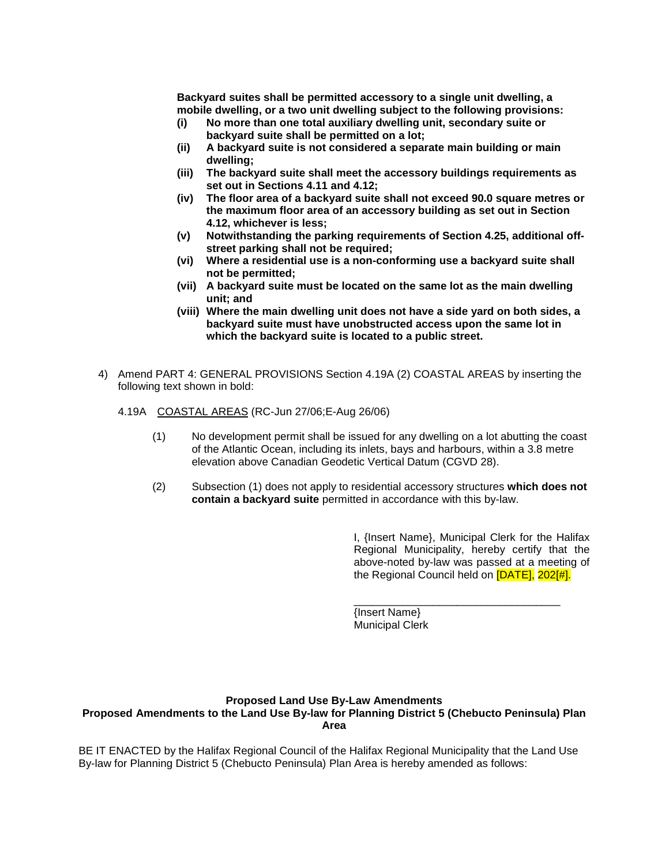**Backyard suites shall be permitted accessory to a single unit dwelling, a mobile dwelling, or a two unit dwelling subject to the following provisions:**

- **(i) No more than one total auxiliary dwelling unit, secondary suite or backyard suite shall be permitted on a lot;**
- **(ii) A backyard suite is not considered a separate main building or main dwelling;**
- **(iii) The backyard suite shall meet the accessory buildings requirements as set out in Sections 4.11 and 4.12;**
- **(iv) The floor area of a backyard suite shall not exceed 90.0 square metres or the maximum floor area of an accessory building as set out in Section 4.12, whichever is less;**
- **(v) Notwithstanding the parking requirements of Section 4.25, additional offstreet parking shall not be required;**
- **(vi) Where a residential use is a non-conforming use a backyard suite shall not be permitted;**
- **(vii) A backyard suite must be located on the same lot as the main dwelling unit; and**
- **(viii) Where the main dwelling unit does not have a side yard on both sides, a backyard suite must have unobstructed access upon the same lot in which the backyard suite is located to a public street.**
- 4) Amend PART 4: GENERAL PROVISIONS Section 4.19A (2) COASTAL AREAS by inserting the following text shown in bold:
	- 4.19A COASTAL AREAS (RC-Jun 27/06;E-Aug 26/06)
		- (1) No development permit shall be issued for any dwelling on a lot abutting the coast of the Atlantic Ocean, including its inlets, bays and harbours, within a 3.8 metre elevation above Canadian Geodetic Vertical Datum (CGVD 28).
		- (2) Subsection (1) does not apply to residential accessory structures **which does not contain a backyard suite** permitted in accordance with this by-law.

I, {Insert Name}, Municipal Clerk for the Halifax Regional Municipality, hereby certify that the above-noted by-law was passed at a meeting of the Regional Council held on [DATE], 202[#].

\_\_\_\_\_\_\_\_\_\_\_\_\_\_\_\_\_\_\_\_\_\_\_\_\_\_\_\_\_\_\_\_\_\_

{Insert Name} Municipal Clerk

#### **Proposed Land Use By-Law Amendments**

#### **Proposed Amendments to the Land Use By-law for Planning District 5 (Chebucto Peninsula) Plan Area**

BE IT ENACTED by the Halifax Regional Council of the Halifax Regional Municipality that the Land Use By-law for Planning District 5 (Chebucto Peninsula) Plan Area is hereby amended as follows: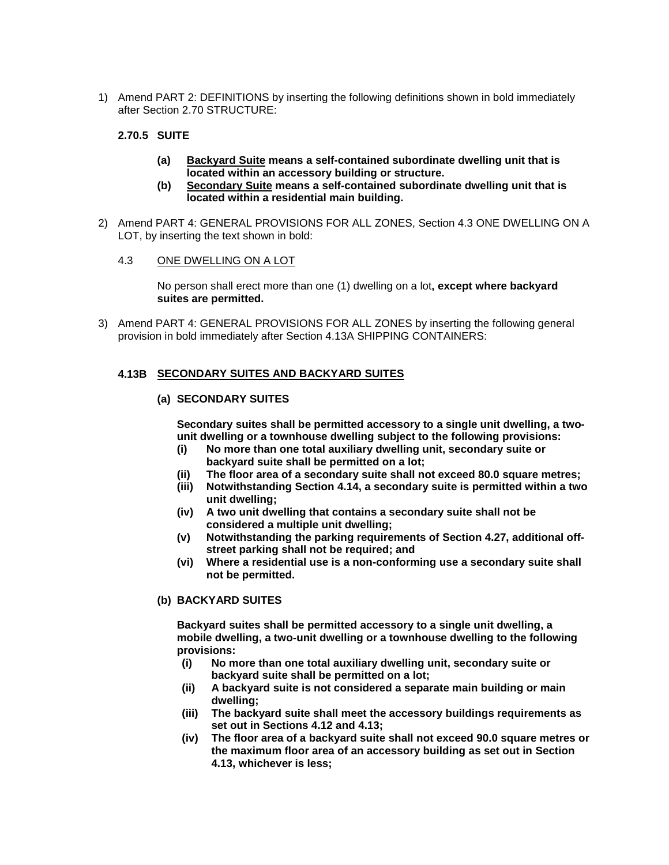1) Amend PART 2: DEFINITIONS by inserting the following definitions shown in bold immediately after Section 2.70 STRUCTURE:

# **2.70.5 SUITE**

- **(a) Backyard Suite means a self-contained subordinate dwelling unit that is located within an accessory building or structure.**
- **(b) Secondary Suite means a self-contained subordinate dwelling unit that is located within a residential main building.**
- 2) Amend PART 4: GENERAL PROVISIONS FOR ALL ZONES, Section 4.3 ONE DWELLING ON A LOT, by inserting the text shown in bold:
	- 4.3 ONE DWELLING ON A LOT

No person shall erect more than one (1) dwelling on a lot**, except where backyard suites are permitted.**

3) Amend PART 4: GENERAL PROVISIONS FOR ALL ZONES by inserting the following general provision in bold immediately after Section 4.13A SHIPPING CONTAINERS:

#### **4.13B SECONDARY SUITES AND BACKYARD SUITES**

#### **(a) SECONDARY SUITES**

**Secondary suites shall be permitted accessory to a single unit dwelling, a twounit dwelling or a townhouse dwelling subject to the following provisions:**

- **(i) No more than one total auxiliary dwelling unit, secondary suite or backyard suite shall be permitted on a lot;**
- **(ii) The floor area of a secondary suite shall not exceed 80.0 square metres;**
- **(iii) Notwithstanding Section 4.14, a secondary suite is permitted within a two unit dwelling;**
- **(iv) A two unit dwelling that contains a secondary suite shall not be considered a multiple unit dwelling;**
- **(v) Notwithstanding the parking requirements of Section 4.27, additional offstreet parking shall not be required; and**
- **(vi) Where a residential use is a non-conforming use a secondary suite shall not be permitted.**

#### **(b) BACKYARD SUITES**

**Backyard suites shall be permitted accessory to a single unit dwelling, a mobile dwelling, a two-unit dwelling or a townhouse dwelling to the following provisions:**

- **(i) No more than one total auxiliary dwelling unit, secondary suite or backyard suite shall be permitted on a lot;**
- **(ii) A backyard suite is not considered a separate main building or main dwelling;**
- **(iii) The backyard suite shall meet the accessory buildings requirements as set out in Sections 4.12 and 4.13;**
- **(iv) The floor area of a backyard suite shall not exceed 90.0 square metres or the maximum floor area of an accessory building as set out in Section 4.13, whichever is less;**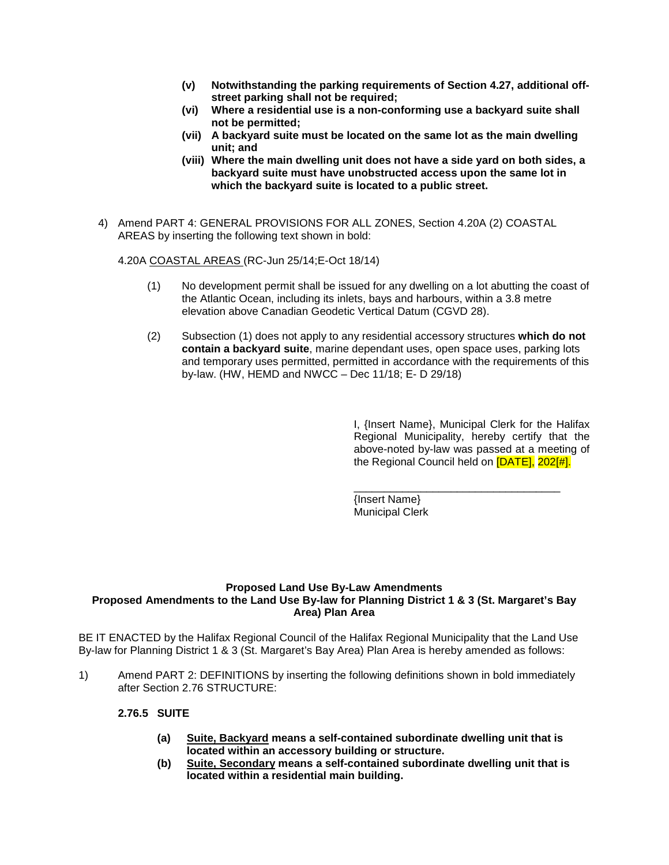- **(v) Notwithstanding the parking requirements of Section 4.27, additional offstreet parking shall not be required;**
- **(vi) Where a residential use is a non-conforming use a backyard suite shall not be permitted;**
- **(vii) A backyard suite must be located on the same lot as the main dwelling unit; and**
- **(viii) Where the main dwelling unit does not have a side yard on both sides, a backyard suite must have unobstructed access upon the same lot in which the backyard suite is located to a public street.**
- 4) Amend PART 4: GENERAL PROVISIONS FOR ALL ZONES, Section 4.20A (2) COASTAL AREAS by inserting the following text shown in bold:

4.20A COASTAL AREAS (RC-Jun 25/14;E-Oct 18/14)

- (1) No development permit shall be issued for any dwelling on a lot abutting the coast of the Atlantic Ocean, including its inlets, bays and harbours, within a 3.8 metre elevation above Canadian Geodetic Vertical Datum (CGVD 28).
- (2) Subsection (1) does not apply to any residential accessory structures **which do not contain a backyard suite**, marine dependant uses, open space uses, parking lots and temporary uses permitted, permitted in accordance with the requirements of this by-law. (HW, HEMD and NWCC – Dec 11/18; E- D 29/18)

I, {Insert Name}, Municipal Clerk for the Halifax Regional Municipality, hereby certify that the above-noted by-law was passed at a meeting of the Regional Council held on [DATE], 202[#].

\_\_\_\_\_\_\_\_\_\_\_\_\_\_\_\_\_\_\_\_\_\_\_\_\_\_\_\_\_\_\_\_\_\_

{Insert Name} Municipal Clerk

#### **Proposed Land Use By-Law Amendments Proposed Amendments to the Land Use By-law for Planning District 1 & 3 (St. Margaret's Bay Area) Plan Area**

BE IT ENACTED by the Halifax Regional Council of the Halifax Regional Municipality that the Land Use By-law for Planning District 1 & 3 (St. Margaret's Bay Area) Plan Area is hereby amended as follows:

1) Amend PART 2: DEFINITIONS by inserting the following definitions shown in bold immediately after Section 2.76 STRUCTURE:

#### **2.76.5 SUITE**

- **(a) Suite, Backyard means a self-contained subordinate dwelling unit that is located within an accessory building or structure.**
- **(b) Suite, Secondary means a self-contained subordinate dwelling unit that is located within a residential main building.**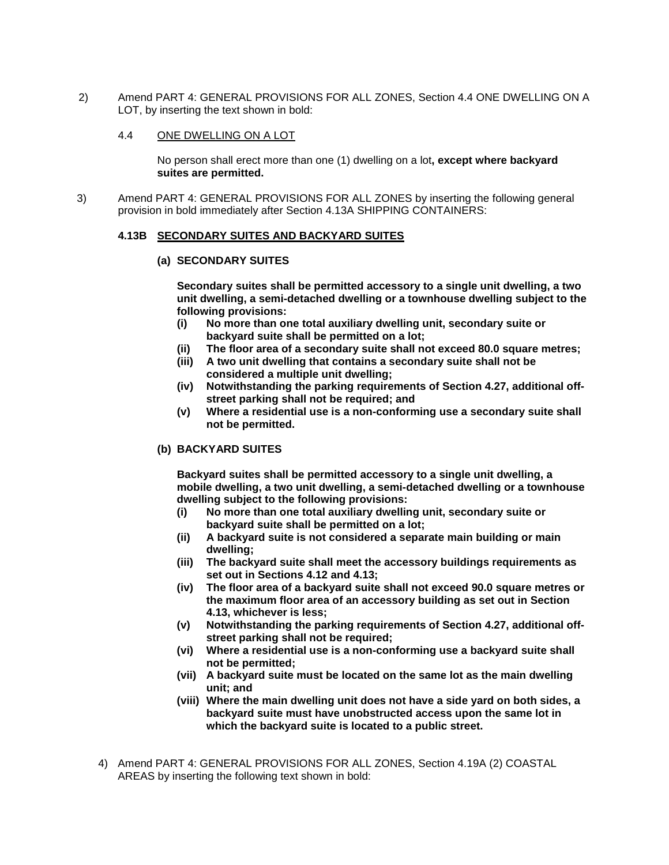2) Amend PART 4: GENERAL PROVISIONS FOR ALL ZONES, Section 4.4 ONE DWELLING ON A LOT, by inserting the text shown in bold:

#### 4.4 ONE DWELLING ON A LOT

No person shall erect more than one (1) dwelling on a lot**, except where backyard suites are permitted.**

3) Amend PART 4: GENERAL PROVISIONS FOR ALL ZONES by inserting the following general provision in bold immediately after Section 4.13A SHIPPING CONTAINERS:

#### **4.13B SECONDARY SUITES AND BACKYARD SUITES**

#### **(a) SECONDARY SUITES**

**Secondary suites shall be permitted accessory to a single unit dwelling, a two unit dwelling, a semi-detached dwelling or a townhouse dwelling subject to the following provisions:**

- **(i) No more than one total auxiliary dwelling unit, secondary suite or backyard suite shall be permitted on a lot;**
- **(ii) The floor area of a secondary suite shall not exceed 80.0 square metres;**
- **(iii) A two unit dwelling that contains a secondary suite shall not be considered a multiple unit dwelling;**
- **(iv) Notwithstanding the parking requirements of Section 4.27, additional offstreet parking shall not be required; and**
- **(v) Where a residential use is a non-conforming use a secondary suite shall not be permitted.**

#### **(b) BACKYARD SUITES**

**Backyard suites shall be permitted accessory to a single unit dwelling, a mobile dwelling, a two unit dwelling, a semi-detached dwelling or a townhouse dwelling subject to the following provisions:**

- **(i) No more than one total auxiliary dwelling unit, secondary suite or backyard suite shall be permitted on a lot;**
- **(ii) A backyard suite is not considered a separate main building or main dwelling;**
- **(iii) The backyard suite shall meet the accessory buildings requirements as set out in Sections 4.12 and 4.13;**
- **(iv) The floor area of a backyard suite shall not exceed 90.0 square metres or the maximum floor area of an accessory building as set out in Section 4.13, whichever is less;**
- **(v) Notwithstanding the parking requirements of Section 4.27, additional offstreet parking shall not be required;**
- **(vi) Where a residential use is a non-conforming use a backyard suite shall not be permitted;**
- **(vii) A backyard suite must be located on the same lot as the main dwelling unit; and**
- **(viii) Where the main dwelling unit does not have a side yard on both sides, a backyard suite must have unobstructed access upon the same lot in which the backyard suite is located to a public street.**
- 4) Amend PART 4: GENERAL PROVISIONS FOR ALL ZONES, Section 4.19A (2) COASTAL AREAS by inserting the following text shown in bold: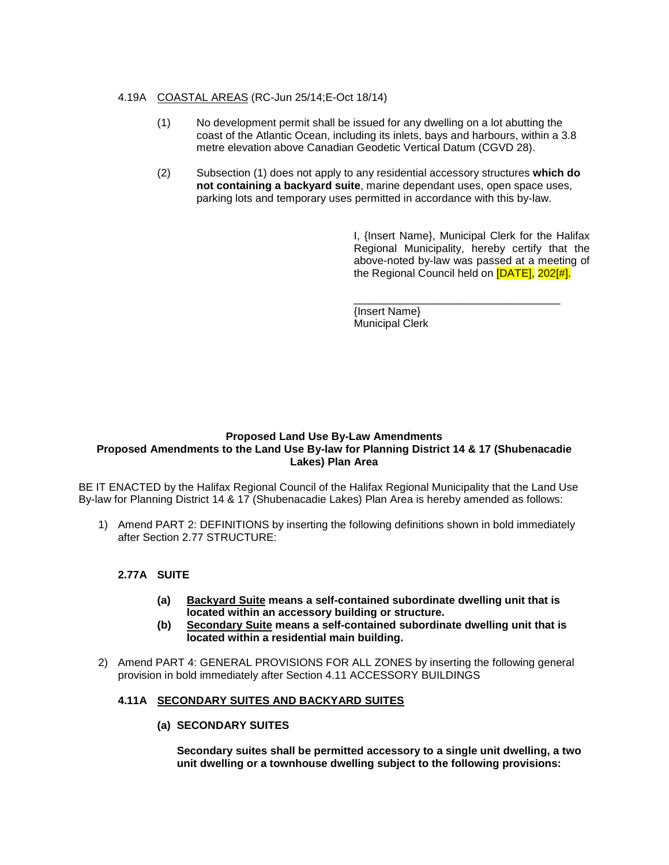# 4.19A COASTAL AREAS (RC-Jun 25/14;E-Oct 18/14)

- (1) No development permit shall be issued for any dwelling on a lot abutting the coast of the Atlantic Ocean, including its inlets, bays and harbours, within a 3.8 metre elevation above Canadian Geodetic Vertical Datum (CGVD 28).
- (2) Subsection (1) does not apply to any residential accessory structures **which do not containing a backyard suite**, marine dependant uses, open space uses, parking lots and temporary uses permitted in accordance with this by-law.

I, {Insert Name}, Municipal Clerk for the Halifax Regional Municipality, hereby certify that the above-noted by-law was passed at a meeting of the Regional Council held on [DATE], 202[#].

\_\_\_\_\_\_\_\_\_\_\_\_\_\_\_\_\_\_\_\_\_\_\_\_\_\_\_\_\_\_\_\_\_\_ {Insert Name} Municipal Clerk

#### **Proposed Land Use By-Law Amendments Proposed Amendments to the Land Use By-law for Planning District 14 & 17 (Shubenacadie Lakes) Plan Area**

BE IT ENACTED by the Halifax Regional Council of the Halifax Regional Municipality that the Land Use By-law for Planning District 14 & 17 (Shubenacadie Lakes) Plan Area is hereby amended as follows:

1) Amend PART 2: DEFINITIONS by inserting the following definitions shown in bold immediately after Section 2.77 STRUCTURE:

# **2.77A SUITE**

- **(a) Backyard Suite means a self-contained subordinate dwelling unit that is located within an accessory building or structure.**
- **(b) Secondary Suite means a self-contained subordinate dwelling unit that is located within a residential main building.**
- 2) Amend PART 4: GENERAL PROVISIONS FOR ALL ZONES by inserting the following general provision in bold immediately after Section 4.11 ACCESSORY BUILDINGS

# **4.11A SECONDARY SUITES AND BACKYARD SUITES**

**(a) SECONDARY SUITES** 

**Secondary suites shall be permitted accessory to a single unit dwelling, a two unit dwelling or a townhouse dwelling subject to the following provisions:**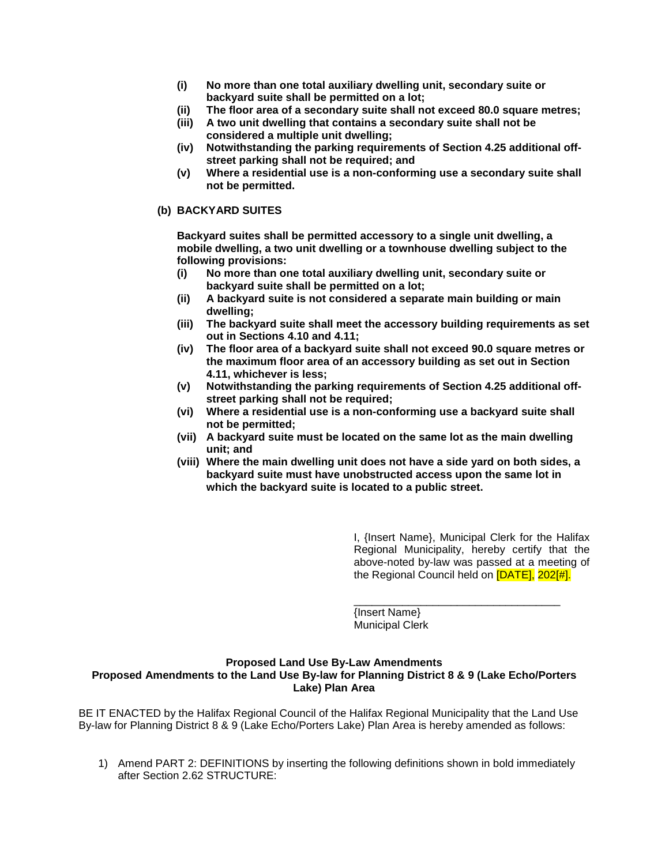- **(i) No more than one total auxiliary dwelling unit, secondary suite or backyard suite shall be permitted on a lot;**
- **(ii) The floor area of a secondary suite shall not exceed 80.0 square metres;**
- **(iii) A two unit dwelling that contains a secondary suite shall not be considered a multiple unit dwelling;**
- **(iv) Notwithstanding the parking requirements of Section 4.25 additional offstreet parking shall not be required; and**
- **(v) Where a residential use is a non-conforming use a secondary suite shall not be permitted.**

#### **(b) BACKYARD SUITES**

**Backyard suites shall be permitted accessory to a single unit dwelling, a mobile dwelling, a two unit dwelling or a townhouse dwelling subject to the following provisions:**

- **(i) No more than one total auxiliary dwelling unit, secondary suite or backyard suite shall be permitted on a lot;**
- **(ii) A backyard suite is not considered a separate main building or main dwelling;**
- **(iii) The backyard suite shall meet the accessory building requirements as set out in Sections 4.10 and 4.11;**
- **(iv) The floor area of a backyard suite shall not exceed 90.0 square metres or the maximum floor area of an accessory building as set out in Section 4.11, whichever is less;**
- **(v) Notwithstanding the parking requirements of Section 4.25 additional offstreet parking shall not be required;**
- **(vi) Where a residential use is a non-conforming use a backyard suite shall not be permitted;**
- **(vii) A backyard suite must be located on the same lot as the main dwelling unit; and**
- **(viii) Where the main dwelling unit does not have a side yard on both sides, a backyard suite must have unobstructed access upon the same lot in which the backyard suite is located to a public street.**

I, {Insert Name}, Municipal Clerk for the Halifax Regional Municipality, hereby certify that the above-noted by-law was passed at a meeting of the Regional Council held on [DATE], 202[#].

\_\_\_\_\_\_\_\_\_\_\_\_\_\_\_\_\_\_\_\_\_\_\_\_\_\_\_\_\_\_\_\_\_\_

{Insert Name} Municipal Clerk

#### **Proposed Land Use By-Law Amendments Proposed Amendments to the Land Use By-law for Planning District 8 & 9 (Lake Echo/Porters Lake) Plan Area**

BE IT ENACTED by the Halifax Regional Council of the Halifax Regional Municipality that the Land Use By-law for Planning District 8 & 9 (Lake Echo/Porters Lake) Plan Area is hereby amended as follows:

1) Amend PART 2: DEFINITIONS by inserting the following definitions shown in bold immediately after Section 2.62 STRUCTURE: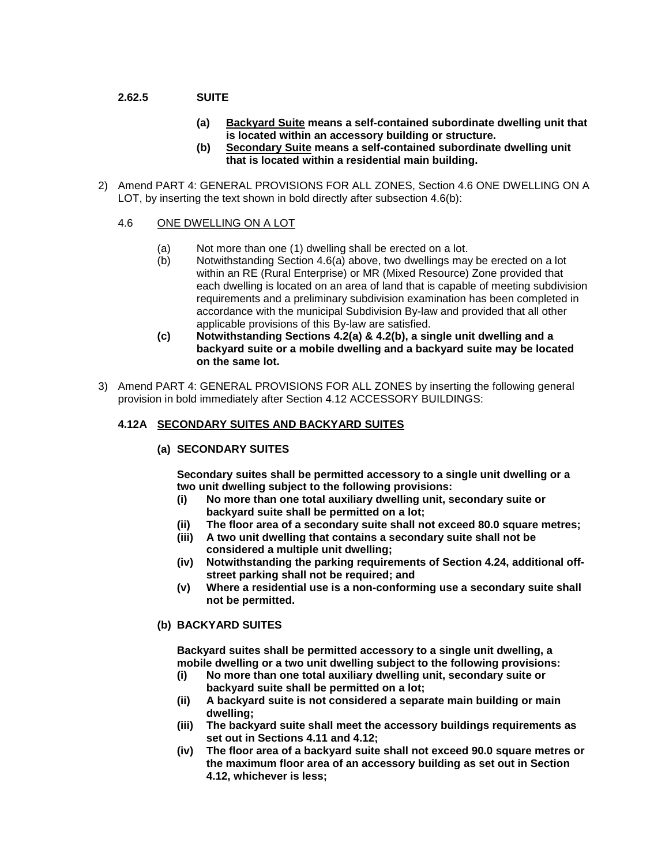# **2.62.5 SUITE**

- **(a) Backyard Suite means a self-contained subordinate dwelling unit that is located within an accessory building or structure.**
- **(b) Secondary Suite means a self-contained subordinate dwelling unit that is located within a residential main building.**
- 2) Amend PART 4: GENERAL PROVISIONS FOR ALL ZONES, Section 4.6 ONE DWELLING ON A LOT, by inserting the text shown in bold directly after subsection 4.6(b):
	- 4.6 ONE DWELLING ON A LOT
		- (a) Not more than one (1) dwelling shall be erected on a lot.<br>(b) Notwithstanding Section 4.6(a) above, two dwellings may
		- Notwithstanding Section 4.6(a) above, two dwellings may be erected on a lot within an RE (Rural Enterprise) or MR (Mixed Resource) Zone provided that each dwelling is located on an area of land that is capable of meeting subdivision requirements and a preliminary subdivision examination has been completed in accordance with the municipal Subdivision By-law and provided that all other applicable provisions of this By-law are satisfied.
		- **(c) Notwithstanding Sections 4.2(a) & 4.2(b), a single unit dwelling and a backyard suite or a mobile dwelling and a backyard suite may be located on the same lot.**
- 3) Amend PART 4: GENERAL PROVISIONS FOR ALL ZONES by inserting the following general provision in bold immediately after Section 4.12 ACCESSORY BUILDINGS:

#### **4.12A SECONDARY SUITES AND BACKYARD SUITES**

**(a) SECONDARY SUITES** 

**Secondary suites shall be permitted accessory to a single unit dwelling or a two unit dwelling subject to the following provisions:**

- **(i) No more than one total auxiliary dwelling unit, secondary suite or backyard suite shall be permitted on a lot;**
- **(ii) The floor area of a secondary suite shall not exceed 80.0 square metres;**
- **(iii) A two unit dwelling that contains a secondary suite shall not be considered a multiple unit dwelling;**
- **(iv) Notwithstanding the parking requirements of Section 4.24, additional offstreet parking shall not be required; and**
- **(v) Where a residential use is a non-conforming use a secondary suite shall not be permitted.**

#### **(b) BACKYARD SUITES**

**Backyard suites shall be permitted accessory to a single unit dwelling, a mobile dwelling or a two unit dwelling subject to the following provisions:**

- **(i) No more than one total auxiliary dwelling unit, secondary suite or backyard suite shall be permitted on a lot;**
- **(ii) A backyard suite is not considered a separate main building or main dwelling;**
- **(iii) The backyard suite shall meet the accessory buildings requirements as set out in Sections 4.11 and 4.12;**
- **(iv) The floor area of a backyard suite shall not exceed 90.0 square metres or the maximum floor area of an accessory building as set out in Section 4.12, whichever is less;**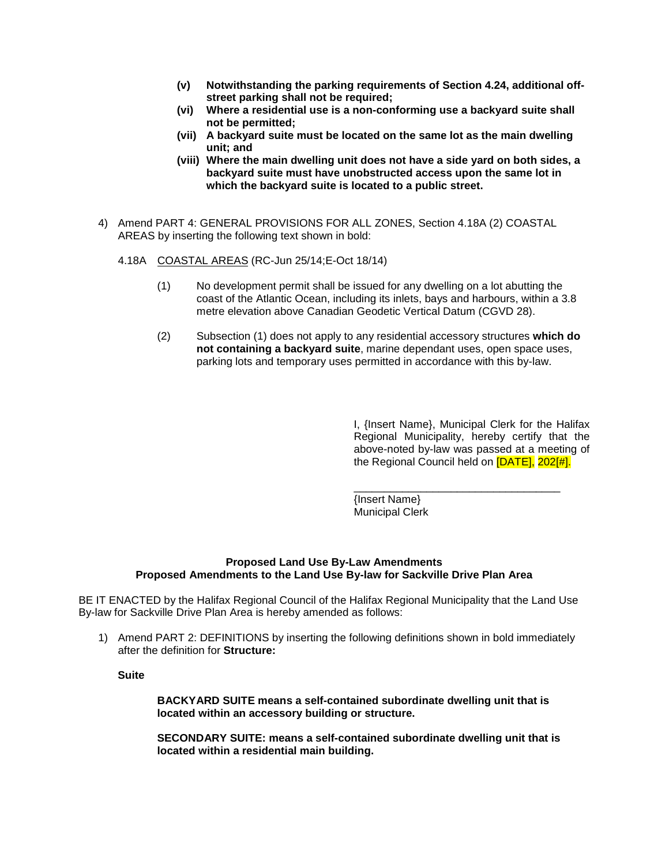- **(v) Notwithstanding the parking requirements of Section 4.24, additional offstreet parking shall not be required;**
- **(vi) Where a residential use is a non-conforming use a backyard suite shall not be permitted;**
- **(vii) A backyard suite must be located on the same lot as the main dwelling unit; and**
- **(viii) Where the main dwelling unit does not have a side yard on both sides, a backyard suite must have unobstructed access upon the same lot in which the backyard suite is located to a public street.**
- 4) Amend PART 4: GENERAL PROVISIONS FOR ALL ZONES, Section 4.18A (2) COASTAL AREAS by inserting the following text shown in bold:
	- 4.18A COASTAL AREAS (RC-Jun 25/14;E-Oct 18/14)
		- (1) No development permit shall be issued for any dwelling on a lot abutting the coast of the Atlantic Ocean, including its inlets, bays and harbours, within a 3.8 metre elevation above Canadian Geodetic Vertical Datum (CGVD 28).
		- (2) Subsection (1) does not apply to any residential accessory structures **which do not containing a backyard suite**, marine dependant uses, open space uses, parking lots and temporary uses permitted in accordance with this by-law.

I, {Insert Name}, Municipal Clerk for the Halifax Regional Municipality, hereby certify that the above-noted by-law was passed at a meeting of the Regional Council held on [DATE], 202[#].

\_\_\_\_\_\_\_\_\_\_\_\_\_\_\_\_\_\_\_\_\_\_\_\_\_\_\_\_\_\_\_\_\_\_ {Insert Name} Municipal Clerk

#### **Proposed Land Use By-Law Amendments Proposed Amendments to the Land Use By-law for Sackville Drive Plan Area**

BE IT ENACTED by the Halifax Regional Council of the Halifax Regional Municipality that the Land Use By-law for Sackville Drive Plan Area is hereby amended as follows:

1) Amend PART 2: DEFINITIONS by inserting the following definitions shown in bold immediately after the definition for **Structure:**

**Suite**

**BACKYARD SUITE means a self-contained subordinate dwelling unit that is located within an accessory building or structure.**

**SECONDARY SUITE: means a self-contained subordinate dwelling unit that is located within a residential main building.**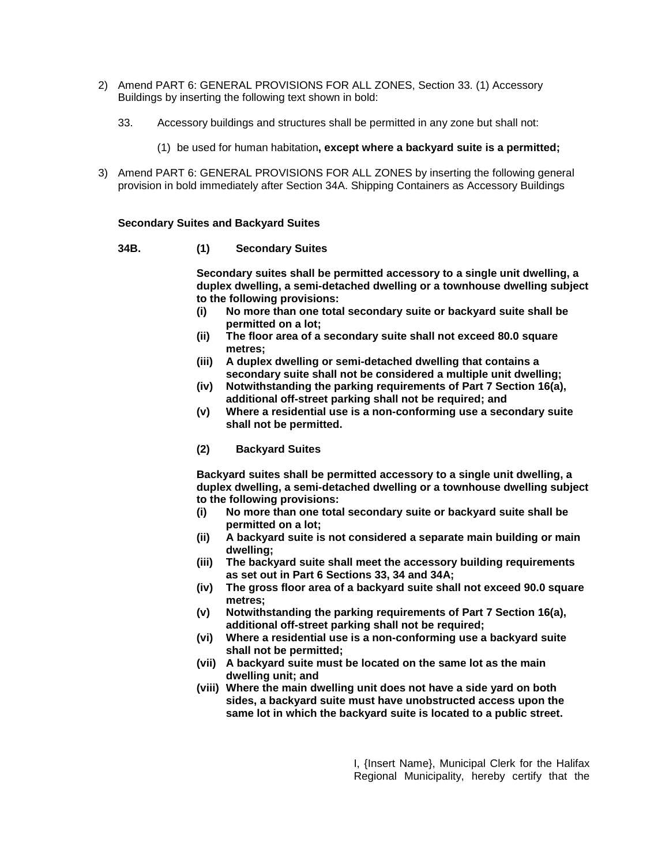- 2) Amend PART 6: GENERAL PROVISIONS FOR ALL ZONES, Section 33. (1) Accessory Buildings by inserting the following text shown in bold:
	- 33. Accessory buildings and structures shall be permitted in any zone but shall not:
		- (1) be used for human habitation**, except where a backyard suite is a permitted;**
- 3) Amend PART 6: GENERAL PROVISIONS FOR ALL ZONES by inserting the following general provision in bold immediately after Section 34A. Shipping Containers as Accessory Buildings

#### **Secondary Suites and Backyard Suites**

#### **34B. (1) Secondary Suites**

**Secondary suites shall be permitted accessory to a single unit dwelling, a duplex dwelling, a semi-detached dwelling or a townhouse dwelling subject to the following provisions:**

- **(i) No more than one total secondary suite or backyard suite shall be permitted on a lot;**
- **(ii) The floor area of a secondary suite shall not exceed 80.0 square metres;**
- **(iii) A duplex dwelling or semi-detached dwelling that contains a secondary suite shall not be considered a multiple unit dwelling;**
- **(iv) Notwithstanding the parking requirements of Part 7 Section 16(a), additional off-street parking shall not be required; and**
- **(v) Where a residential use is a non-conforming use a secondary suite shall not be permitted.**
- **(2) Backyard Suites**

**Backyard suites shall be permitted accessory to a single unit dwelling, a duplex dwelling, a semi-detached dwelling or a townhouse dwelling subject to the following provisions:**

- **(i) No more than one total secondary suite or backyard suite shall be permitted on a lot;**
- **(ii) A backyard suite is not considered a separate main building or main dwelling;**
- **(iii) The backyard suite shall meet the accessory building requirements as set out in Part 6 Sections 33, 34 and 34A;**
- **(iv) The gross floor area of a backyard suite shall not exceed 90.0 square metres;**
- **(v) Notwithstanding the parking requirements of Part 7 Section 16(a), additional off-street parking shall not be required;**
- **(vi) Where a residential use is a non-conforming use a backyard suite shall not be permitted;**
- **(vii) A backyard suite must be located on the same lot as the main dwelling unit; and**
- **(viii) Where the main dwelling unit does not have a side yard on both sides, a backyard suite must have unobstructed access upon the same lot in which the backyard suite is located to a public street.**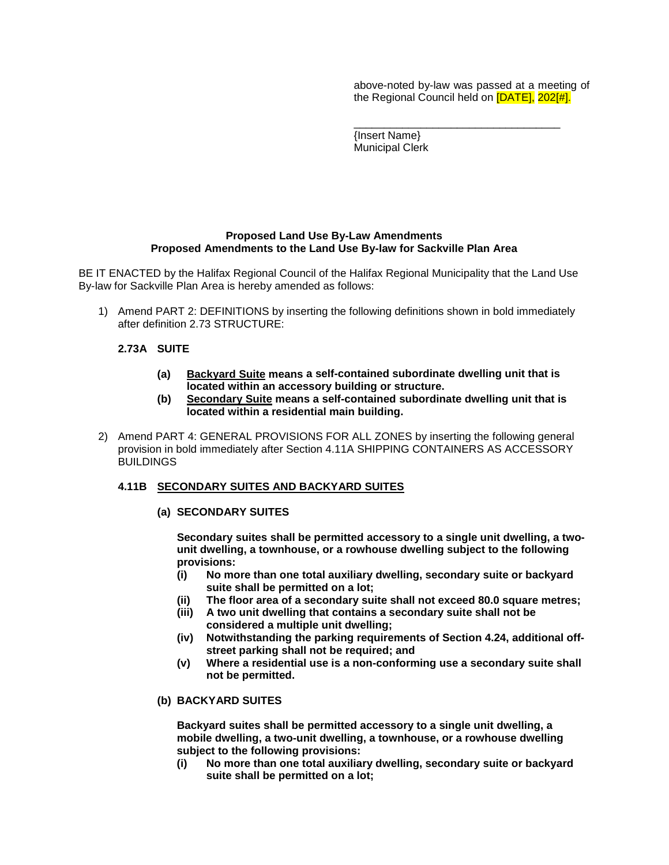above-noted by-law was passed at a meeting of the Regional Council held on **[DATE]**, 202[#].

\_\_\_\_\_\_\_\_\_\_\_\_\_\_\_\_\_\_\_\_\_\_\_\_\_\_\_\_\_\_\_\_\_\_

{Insert Name} Municipal Clerk

#### **Proposed Land Use By-Law Amendments Proposed Amendments to the Land Use By-law for Sackville Plan Area**

BE IT ENACTED by the Halifax Regional Council of the Halifax Regional Municipality that the Land Use By-law for Sackville Plan Area is hereby amended as follows:

1) Amend PART 2: DEFINITIONS by inserting the following definitions shown in bold immediately after definition 2.73 STRUCTURE:

#### **2.73A SUITE**

- **(a) Backyard Suite means a self-contained subordinate dwelling unit that is located within an accessory building or structure.**
- **(b) Secondary Suite means a self-contained subordinate dwelling unit that is located within a residential main building.**
- 2) Amend PART 4: GENERAL PROVISIONS FOR ALL ZONES by inserting the following general provision in bold immediately after Section 4.11A SHIPPING CONTAINERS AS ACCESSORY **BUILDINGS**

#### **4.11B SECONDARY SUITES AND BACKYARD SUITES**

#### **(a) SECONDARY SUITES**

**Secondary suites shall be permitted accessory to a single unit dwelling, a twounit dwelling, a townhouse, or a rowhouse dwelling subject to the following provisions:**

- **(i) No more than one total auxiliary dwelling, secondary suite or backyard suite shall be permitted on a lot;**
- **(ii) The floor area of a secondary suite shall not exceed 80.0 square metres;**
- **(iii) A two unit dwelling that contains a secondary suite shall not be considered a multiple unit dwelling;**
- **(iv) Notwithstanding the parking requirements of Section 4.24, additional offstreet parking shall not be required; and**
- **(v) Where a residential use is a non-conforming use a secondary suite shall not be permitted.**

#### **(b) BACKYARD SUITES**

**Backyard suites shall be permitted accessory to a single unit dwelling, a mobile dwelling, a two-unit dwelling, a townhouse, or a rowhouse dwelling subject to the following provisions:**

**(i) No more than one total auxiliary dwelling, secondary suite or backyard suite shall be permitted on a lot;**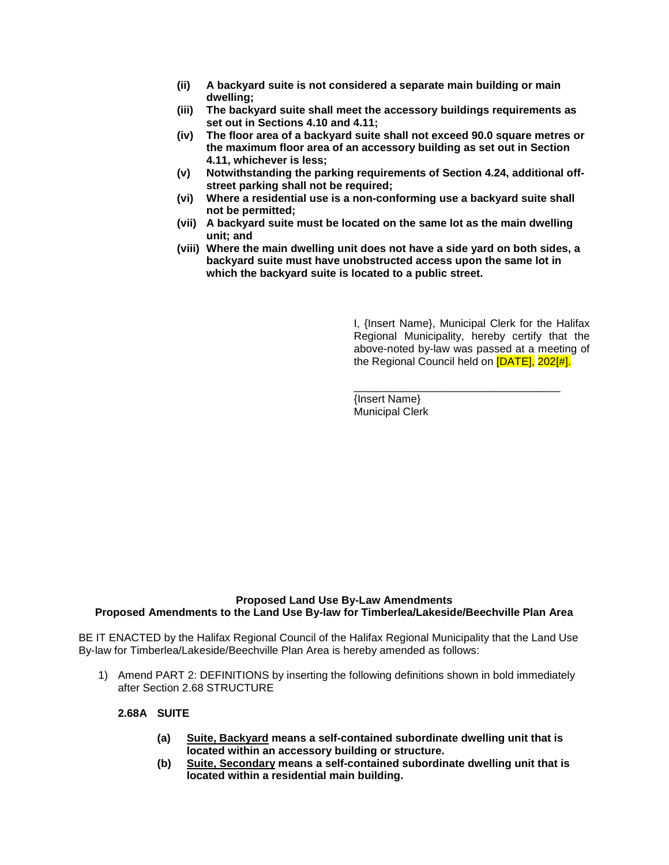- **(ii) A backyard suite is not considered a separate main building or main dwelling;**
- **(iii) The backyard suite shall meet the accessory buildings requirements as set out in Sections 4.10 and 4.11;**
- **(iv) The floor area of a backyard suite shall not exceed 90.0 square metres or the maximum floor area of an accessory building as set out in Section 4.11, whichever is less;**
- **(v) Notwithstanding the parking requirements of Section 4.24, additional offstreet parking shall not be required;**
- **(vi) Where a residential use is a non-conforming use a backyard suite shall not be permitted;**
- **(vii) A backyard suite must be located on the same lot as the main dwelling unit; and**
- **(viii) Where the main dwelling unit does not have a side yard on both sides, a backyard suite must have unobstructed access upon the same lot in which the backyard suite is located to a public street.**

I, {Insert Name}, Municipal Clerk for the Halifax Regional Municipality, hereby certify that the above-noted by-law was passed at a meeting of the Regional Council held on [DATE], 202[#].

\_\_\_\_\_\_\_\_\_\_\_\_\_\_\_\_\_\_\_\_\_\_\_\_\_\_\_\_\_\_\_\_\_\_

{Insert Name} Municipal Clerk

# **Proposed Land Use By-Law Amendments Proposed Amendments to the Land Use By-law for Timberlea/Lakeside/Beechville Plan Area**

BE IT ENACTED by the Halifax Regional Council of the Halifax Regional Municipality that the Land Use By-law for Timberlea/Lakeside/Beechville Plan Area is hereby amended as follows:

1) Amend PART 2: DEFINITIONS by inserting the following definitions shown in bold immediately after Section 2.68 STRUCTURE

#### **2.68A SUITE**

- **(a) Suite, Backyard means a self-contained subordinate dwelling unit that is located within an accessory building or structure.**
- **(b) Suite, Secondary means a self-contained subordinate dwelling unit that is located within a residential main building.**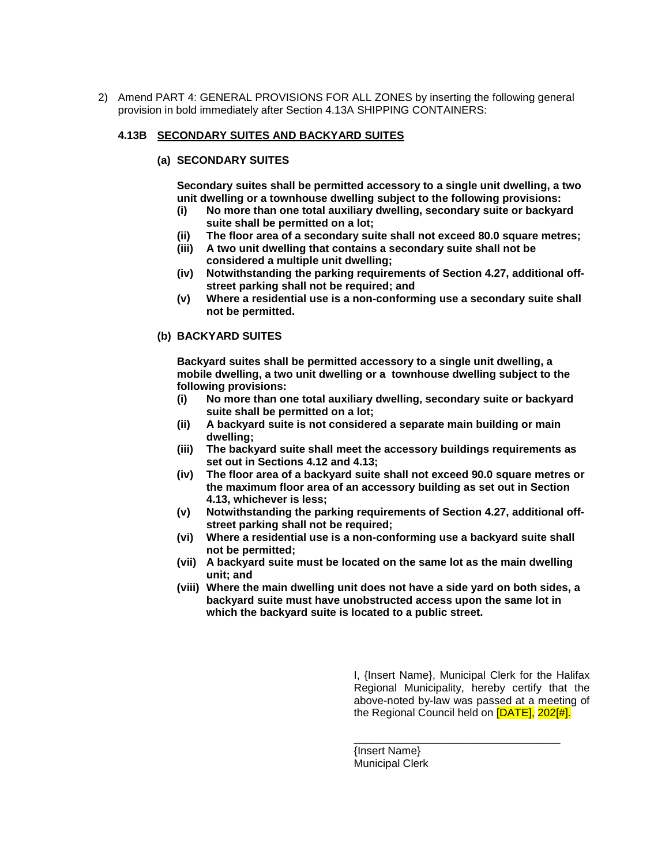2) Amend PART 4: GENERAL PROVISIONS FOR ALL ZONES by inserting the following general provision in bold immediately after Section 4.13A SHIPPING CONTAINERS:

#### **4.13B SECONDARY SUITES AND BACKYARD SUITES**

#### **(a) SECONDARY SUITES**

**Secondary suites shall be permitted accessory to a single unit dwelling, a two unit dwelling or a townhouse dwelling subject to the following provisions:**

- **(i) No more than one total auxiliary dwelling, secondary suite or backyard suite shall be permitted on a lot;**
- **(ii) The floor area of a secondary suite shall not exceed 80.0 square metres;**
- **(iii) A two unit dwelling that contains a secondary suite shall not be considered a multiple unit dwelling;**
- **(iv) Notwithstanding the parking requirements of Section 4.27, additional offstreet parking shall not be required; and**
- **(v) Where a residential use is a non-conforming use a secondary suite shall not be permitted.**

#### **(b) BACKYARD SUITES**

**Backyard suites shall be permitted accessory to a single unit dwelling, a mobile dwelling, a two unit dwelling or a townhouse dwelling subject to the following provisions:**

- **(i) No more than one total auxiliary dwelling, secondary suite or backyard suite shall be permitted on a lot;**
- **(ii) A backyard suite is not considered a separate main building or main dwelling;**
- **(iii) The backyard suite shall meet the accessory buildings requirements as set out in Sections 4.12 and 4.13;**
- **(iv) The floor area of a backyard suite shall not exceed 90.0 square metres or the maximum floor area of an accessory building as set out in Section 4.13, whichever is less;**
- **(v) Notwithstanding the parking requirements of Section 4.27, additional offstreet parking shall not be required;**
- **(vi) Where a residential use is a non-conforming use a backyard suite shall not be permitted;**
- **(vii) A backyard suite must be located on the same lot as the main dwelling unit; and**
- **(viii) Where the main dwelling unit does not have a side yard on both sides, a backyard suite must have unobstructed access upon the same lot in which the backyard suite is located to a public street.**

I, {Insert Name}, Municipal Clerk for the Halifax Regional Municipality, hereby certify that the above-noted by-law was passed at a meeting of the Regional Council held on [DATE], 202[#].

\_\_\_\_\_\_\_\_\_\_\_\_\_\_\_\_\_\_\_\_\_\_\_\_\_\_\_\_\_\_\_\_\_\_

{Insert Name} Municipal Clerk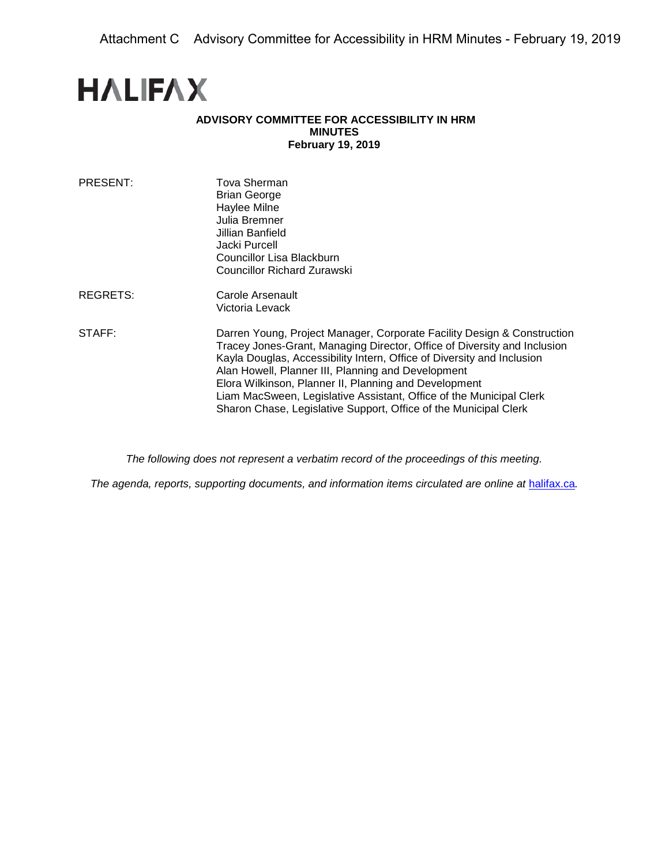# **HALIFAX**

## **ADVISORY COMMITTEE FOR ACCESSIBILITY IN HRM MINUTES February 19, 2019**

| PRESENT: | Tova Sherman<br><b>Brian George</b><br>Haylee Milne<br>Julia Bremner<br>Jillian Banfield<br>Jacki Purcell<br>Councillor Lisa Blackburn<br>Councillor Richard Zurawski                                                                                                                                                                                                                                                                                                                   |
|----------|-----------------------------------------------------------------------------------------------------------------------------------------------------------------------------------------------------------------------------------------------------------------------------------------------------------------------------------------------------------------------------------------------------------------------------------------------------------------------------------------|
| REGRETS: | Carole Arsenault<br>Victoria Levack                                                                                                                                                                                                                                                                                                                                                                                                                                                     |
| STAFF:   | Darren Young, Project Manager, Corporate Facility Design & Construction<br>Tracey Jones-Grant, Managing Director, Office of Diversity and Inclusion<br>Kayla Douglas, Accessibility Intern, Office of Diversity and Inclusion<br>Alan Howell, Planner III, Planning and Development<br>Elora Wilkinson, Planner II, Planning and Development<br>Liam MacSween, Legislative Assistant, Office of the Municipal Clerk<br>Sharon Chase, Legislative Support, Office of the Municipal Clerk |

*The following does not represent a verbatim record of the proceedings of this meeting.*

*The agenda, reports, supporting documents, and information items circulated are online at [halifax.ca](http://www.halifax.ca/).*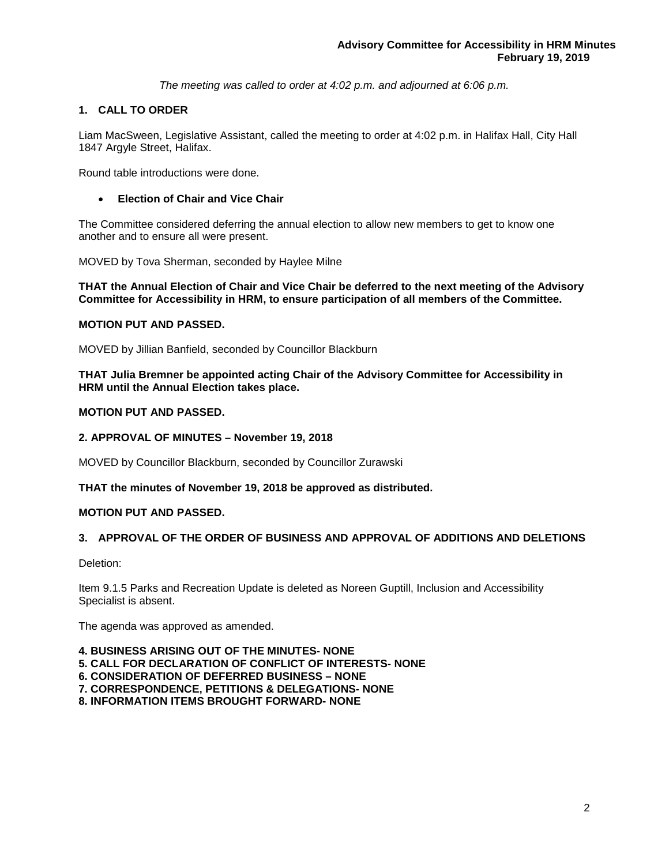*The meeting was called to order at 4:02 p.m. and adjourned at 6:06 p.m.*

# **1. CALL TO ORDER**

Liam MacSween, Legislative Assistant, called the meeting to order at 4:02 p.m. in Halifax Hall, City Hall 1847 Argyle Street, Halifax.

Round table introductions were done.

#### • **Election of Chair and Vice Chair**

The Committee considered deferring the annual election to allow new members to get to know one another and to ensure all were present.

MOVED by Tova Sherman, seconded by Haylee Milne

**THAT the Annual Election of Chair and Vice Chair be deferred to the next meeting of the Advisory Committee for Accessibility in HRM, to ensure participation of all members of the Committee.**

#### **MOTION PUT AND PASSED.**

MOVED by Jillian Banfield, seconded by Councillor Blackburn

**THAT Julia Bremner be appointed acting Chair of the Advisory Committee for Accessibility in HRM until the Annual Election takes place.**

#### **MOTION PUT AND PASSED.**

#### **2. APPROVAL OF MINUTES – November 19, 2018**

MOVED by Councillor Blackburn, seconded by Councillor Zurawski

**THAT the minutes of November 19, 2018 be approved as distributed.**

#### **MOTION PUT AND PASSED.**

# **3. APPROVAL OF THE ORDER OF BUSINESS AND APPROVAL OF ADDITIONS AND DELETIONS**

Deletion:

Item 9.1.5 Parks and Recreation Update is deleted as Noreen Guptill, Inclusion and Accessibility Specialist is absent.

The agenda was approved as amended.

- **4. BUSINESS ARISING OUT OF THE MINUTES- NONE**
- **5. CALL FOR DECLARATION OF CONFLICT OF INTERESTS- NONE**
- **6. CONSIDERATION OF DEFERRED BUSINESS – NONE**
- **7. CORRESPONDENCE, PETITIONS & DELEGATIONS- NONE**
- **8. INFORMATION ITEMS BROUGHT FORWARD- NONE**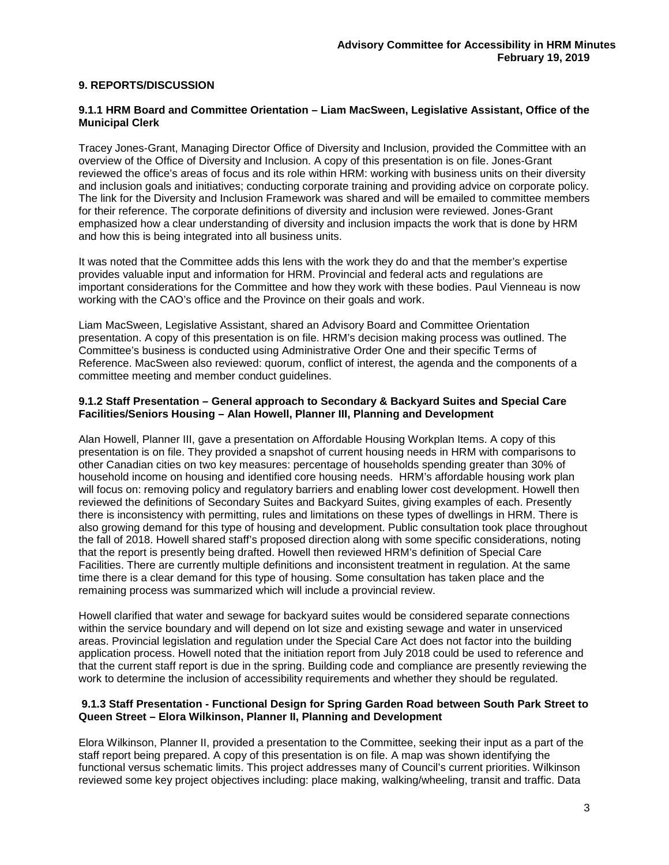# **9. REPORTS/DISCUSSION**

#### **9.1.1 HRM Board and Committee Orientation – Liam MacSween, Legislative Assistant, Office of the Municipal Clerk**

Tracey Jones-Grant, Managing Director Office of Diversity and Inclusion, provided the Committee with an overview of the Office of Diversity and Inclusion. A copy of this presentation is on file. Jones-Grant reviewed the office's areas of focus and its role within HRM: working with business units on their diversity and inclusion goals and initiatives; conducting corporate training and providing advice on corporate policy. The link for the Diversity and Inclusion Framework was shared and will be emailed to committee members for their reference. The corporate definitions of diversity and inclusion were reviewed. Jones-Grant emphasized how a clear understanding of diversity and inclusion impacts the work that is done by HRM and how this is being integrated into all business units.

It was noted that the Committee adds this lens with the work they do and that the member's expertise provides valuable input and information for HRM. Provincial and federal acts and regulations are important considerations for the Committee and how they work with these bodies. Paul Vienneau is now working with the CAO's office and the Province on their goals and work.

Liam MacSween, Legislative Assistant, shared an Advisory Board and Committee Orientation presentation. A copy of this presentation is on file. HRM's decision making process was outlined. The Committee's business is conducted using Administrative Order One and their specific Terms of Reference. MacSween also reviewed: quorum, conflict of interest, the agenda and the components of a committee meeting and member conduct guidelines.

#### **9.1.2 Staff Presentation – General approach to Secondary & Backyard Suites and Special Care Facilities/Seniors Housing – Alan Howell, Planner III, Planning and Development**

Alan Howell, Planner III, gave a presentation on Affordable Housing Workplan Items. A copy of this presentation is on file. They provided a snapshot of current housing needs in HRM with comparisons to other Canadian cities on two key measures: percentage of households spending greater than 30% of household income on housing and identified core housing needs. HRM's affordable housing work plan will focus on: removing policy and regulatory barriers and enabling lower cost development. Howell then reviewed the definitions of Secondary Suites and Backyard Suites, giving examples of each. Presently there is inconsistency with permitting, rules and limitations on these types of dwellings in HRM. There is also growing demand for this type of housing and development. Public consultation took place throughout the fall of 2018. Howell shared staff's proposed direction along with some specific considerations, noting that the report is presently being drafted. Howell then reviewed HRM's definition of Special Care Facilities. There are currently multiple definitions and inconsistent treatment in regulation. At the same time there is a clear demand for this type of housing. Some consultation has taken place and the remaining process was summarized which will include a provincial review.

Howell clarified that water and sewage for backyard suites would be considered separate connections within the service boundary and will depend on lot size and existing sewage and water in unserviced areas. Provincial legislation and regulation under the Special Care Act does not factor into the building application process. Howell noted that the initiation report from July 2018 could be used to reference and that the current staff report is due in the spring. Building code and compliance are presently reviewing the work to determine the inclusion of accessibility requirements and whether they should be regulated.

#### **9.1.3 Staff Presentation - Functional Design for Spring Garden Road between South Park Street to Queen Street – Elora Wilkinson, Planner II, Planning and Development**

Elora Wilkinson, Planner II, provided a presentation to the Committee, seeking their input as a part of the staff report being prepared. A copy of this presentation is on file. A map was shown identifying the functional versus schematic limits. This project addresses many of Council's current priorities. Wilkinson reviewed some key project objectives including: place making, walking/wheeling, transit and traffic. Data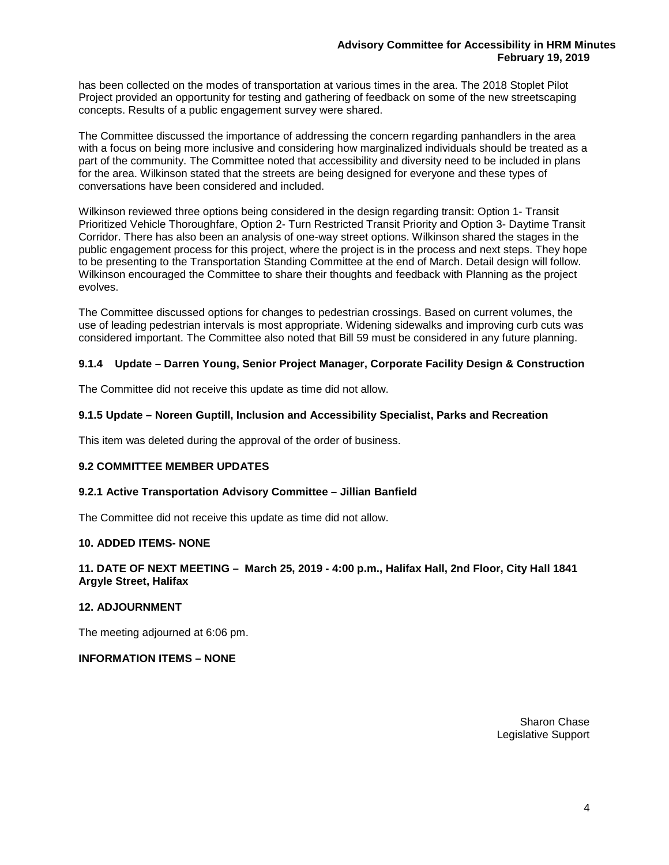has been collected on the modes of transportation at various times in the area. The 2018 Stoplet Pilot Project provided an opportunity for testing and gathering of feedback on some of the new streetscaping concepts. Results of a public engagement survey were shared.

The Committee discussed the importance of addressing the concern regarding panhandlers in the area with a focus on being more inclusive and considering how marginalized individuals should be treated as a part of the community. The Committee noted that accessibility and diversity need to be included in plans for the area. Wilkinson stated that the streets are being designed for everyone and these types of conversations have been considered and included.

Wilkinson reviewed three options being considered in the design regarding transit: Option 1- Transit Prioritized Vehicle Thoroughfare, Option 2- Turn Restricted Transit Priority and Option 3- Daytime Transit Corridor. There has also been an analysis of one-way street options. Wilkinson shared the stages in the public engagement process for this project, where the project is in the process and next steps. They hope to be presenting to the Transportation Standing Committee at the end of March. Detail design will follow. Wilkinson encouraged the Committee to share their thoughts and feedback with Planning as the project evolves.

The Committee discussed options for changes to pedestrian crossings. Based on current volumes, the use of leading pedestrian intervals is most appropriate. Widening sidewalks and improving curb cuts was considered important. The Committee also noted that Bill 59 must be considered in any future planning.

# **9.1.4 Update – Darren Young, Senior Project Manager, Corporate Facility Design & Construction**

The Committee did not receive this update as time did not allow.

#### **9.1.5 Update – Noreen Guptill, Inclusion and Accessibility Specialist, Parks and Recreation**

This item was deleted during the approval of the order of business.

#### **9.2 COMMITTEE MEMBER UPDATES**

#### **9.2.1 Active Transportation Advisory Committee – Jillian Banfield**

The Committee did not receive this update as time did not allow.

# **10. ADDED ITEMS- NONE**

#### **11. DATE OF NEXT MEETING – March 25, 2019 - 4:00 p.m., Halifax Hall, 2nd Floor, City Hall 1841 Argyle Street, Halifax**

#### **12. ADJOURNMENT**

The meeting adjourned at 6:06 pm.

**INFORMATION ITEMS – NONE**

Sharon Chase Legislative Support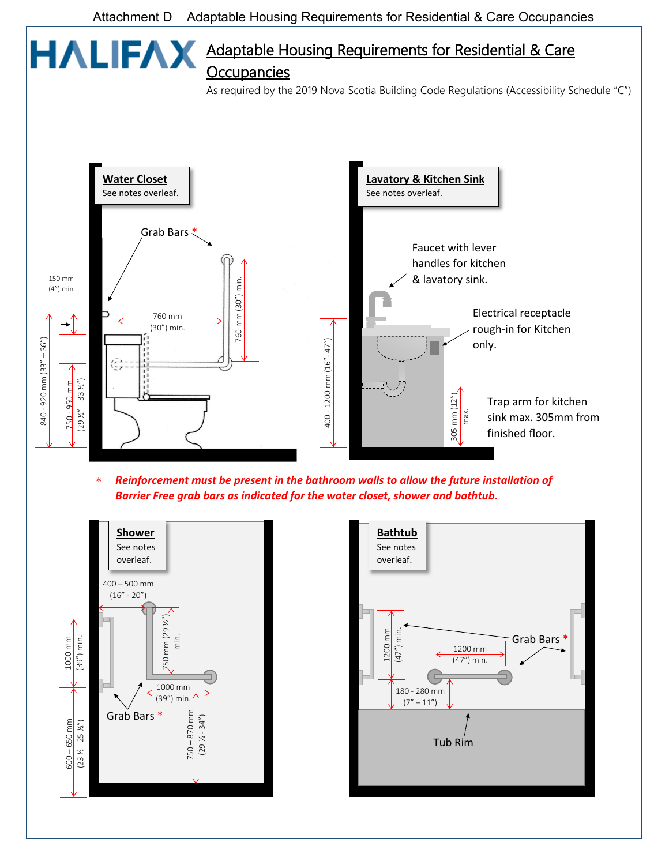# Adaptable Housing Requirements for Residential & Care **HALIFAX Occupancies**

As required by the 2019 Nova Scotia Building Code Regulations (Accessibility Schedule "C")



∗ *Reinforcement must be present in the bathroom walls to allow the future installation of*